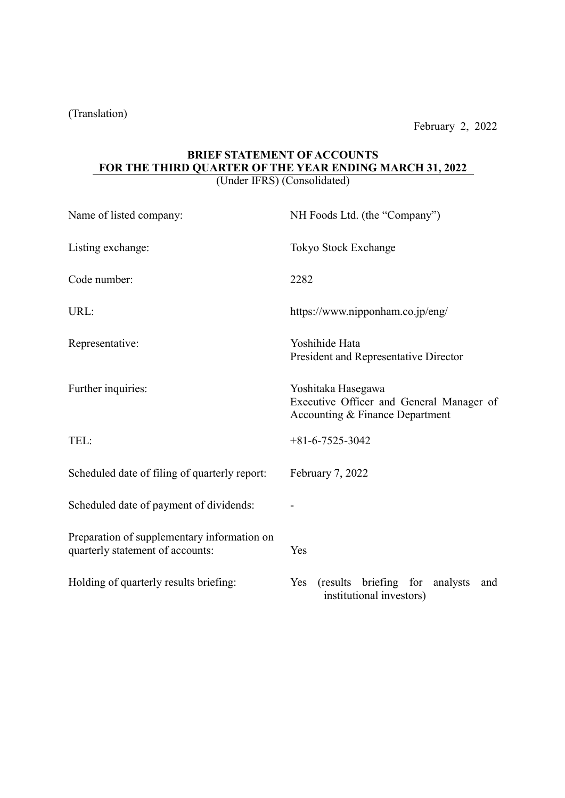(Translation)

# BRIEF STATEMENT OF ACCOUNTS FOR THE THIRD QUARTER OF THE YEAR ENDING MARCH 31, 2022

(Under IFRS) (Consolidated)

| Name of listed company:                                                         | NH Foods Ltd. (the "Company")                                                                     |  |  |  |  |
|---------------------------------------------------------------------------------|---------------------------------------------------------------------------------------------------|--|--|--|--|
| Listing exchange:                                                               | Tokyo Stock Exchange                                                                              |  |  |  |  |
| Code number:                                                                    | 2282                                                                                              |  |  |  |  |
| URL:                                                                            | https://www.nipponham.co.jp/eng/                                                                  |  |  |  |  |
| Representative:                                                                 | Yoshihide Hata<br>President and Representative Director                                           |  |  |  |  |
| Further inquiries:                                                              | Yoshitaka Hasegawa<br>Executive Officer and General Manager of<br>Accounting & Finance Department |  |  |  |  |
| TEL:                                                                            | $+81 - 6 - 7525 - 3042$                                                                           |  |  |  |  |
| Scheduled date of filing of quarterly report:                                   | February 7, 2022                                                                                  |  |  |  |  |
| Scheduled date of payment of dividends:                                         |                                                                                                   |  |  |  |  |
| Preparation of supplementary information on<br>quarterly statement of accounts: | Yes                                                                                               |  |  |  |  |
| Holding of quarterly results briefing:                                          | (results briefing for<br>Yes<br>analysts<br>and<br>institutional investors)                       |  |  |  |  |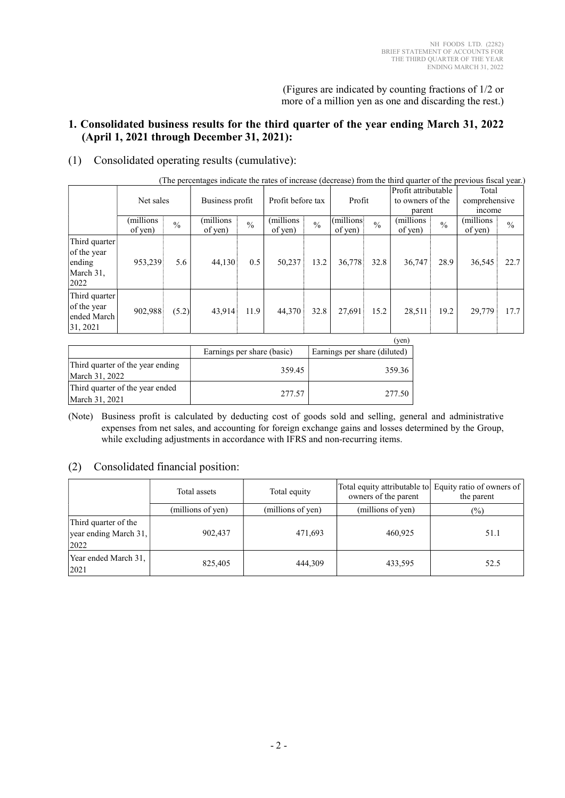(Figures are indicated by counting fractions of 1/2 or more of a million yen as one and discarding the rest.)

### 1. Consolidated business results for the third quarter of the year ending March 31, 2022 (April 1, 2021 through December 31, 2021):

### (1) Consolidated operating results (cumulative):

|  | (The percentages indicate the rates of increase (decrease) from the third quarter of the previous fiscal year.) |  |  |  |
|--|-----------------------------------------------------------------------------------------------------------------|--|--|--|
|  |                                                                                                                 |  |  |  |

|                                                             | Net sales             |               | Business profit      |               | Profit before tax     |               | Profit                |               | Profit attributable<br>to owners of the<br>parent |               | Total<br>comprehensive<br>income |               |
|-------------------------------------------------------------|-----------------------|---------------|----------------------|---------------|-----------------------|---------------|-----------------------|---------------|---------------------------------------------------|---------------|----------------------------------|---------------|
|                                                             | (millions)<br>of yen) | $\frac{0}{0}$ | (millions<br>of yen) | $\frac{0}{0}$ | (millions)<br>of yen) | $\frac{0}{0}$ | (millions)<br>of yen) | $\frac{0}{0}$ | (millions)<br>of yen)                             | $\frac{0}{0}$ | (millions)<br>of yen)            | $\frac{0}{0}$ |
| Third quarter<br>of the year<br>ending<br>March 31,<br>2022 | 953,239               | 5.6           | 44,130               | 0.5           | 50,237                | 13.2          | 36,778                | 32.8          | 36,747                                            | 28.9          | 36,545                           | 22.7          |
| Third quarter<br>of the year<br>ended March<br>31, 2021     | 902,988               | (5.2)         | 43,914               | 11.9          | 44,370                | 32.8          | 27,691                | 15.2          | 28,511                                            | 19.2          | 29,779                           | 17.7          |
|                                                             |                       |               |                      |               |                       |               |                       |               | $($ van)                                          |               |                                  |               |

|                                                    |                            | . VCII.                      |
|----------------------------------------------------|----------------------------|------------------------------|
|                                                    | Earnings per share (basic) | Earnings per share (diluted) |
| Third quarter of the year ending<br>March 31, 2022 | 359.45                     | 359.36                       |
| Third quarter of the year ended<br>March 31, 2021  | 277.57                     | 277.50                       |

(Note) Business profit is calculated by deducting cost of goods sold and selling, general and administrative expenses from net sales, and accounting for foreign exchange gains and losses determined by the Group, while excluding adjustments in accordance with IFRS and non-recurring items.

### (2) Consolidated financial position:

|                                                       | Total assets      | Total equity      | owners of the parent | Total equity attributable to Equity ratio of owners of<br>the parent |
|-------------------------------------------------------|-------------------|-------------------|----------------------|----------------------------------------------------------------------|
|                                                       | (millions of yen) | (millions of yen) | (millions of yen)    | $(\%)$                                                               |
| Third quarter of the<br>year ending March 31,<br>2022 | 902,437           | 471,693           | 460.925              | 51.1                                                                 |
| Year ended March 31,<br>2021                          | 825,405           | 444,309           | 433,595              | 52.5                                                                 |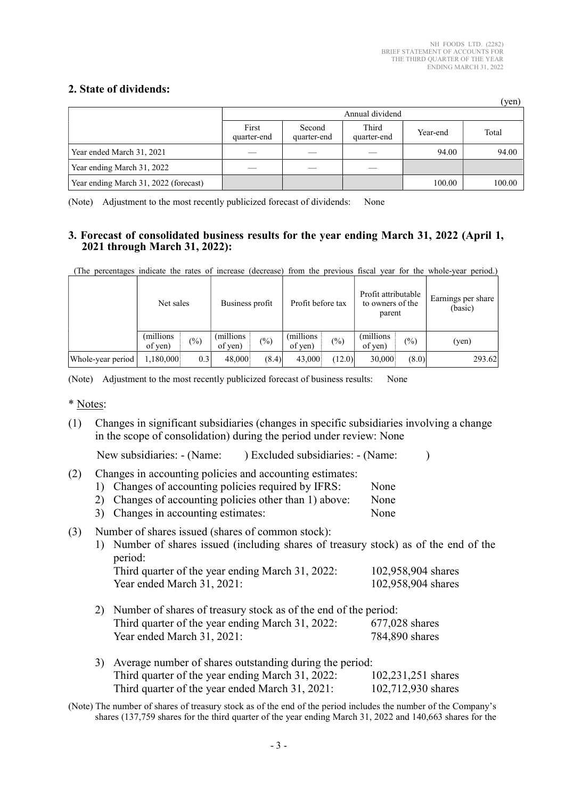$(v_{en})$ 

### 2. State of dividends:

|                                       |                      |                       |                      |          | (yui)  |  |  |
|---------------------------------------|----------------------|-----------------------|----------------------|----------|--------|--|--|
|                                       |                      | Annual dividend       |                      |          |        |  |  |
|                                       | First<br>quarter-end | Second<br>quarter-end | Third<br>quarter-end | Year-end | Total  |  |  |
| Year ended March 31, 2021             |                      |                       |                      | 94.00    | 94.00  |  |  |
| Year ending March 31, 2022            |                      |                       |                      |          |        |  |  |
| Year ending March 31, 2022 (forecast) |                      |                       |                      | 100.00   | 100.00 |  |  |

(Note) Adjustment to the most recently publicized forecast of dividends: None

### 3. Forecast of consolidated business results for the year ending March 31, 2022 (April 1, 2021 through March 31, 2022):

(The percentages indicate the rates of increase (decrease) from the previous fiscal year for the whole-year period.)

|                   | Net sales            |               | Business profit       |        | Profit before tax     |        | Profit attributable<br>to owners of the<br>parent |                 | Earnings per share<br>(basic) |  |
|-------------------|----------------------|---------------|-----------------------|--------|-----------------------|--------|---------------------------------------------------|-----------------|-------------------------------|--|
|                   | (millions<br>of yen) | $\frac{6}{2}$ | (millions)<br>of ven) | $(\%)$ | (millions)<br>of yen) | (%)    | (millions)<br>of yen)                             | $\frac{(0)}{0}$ | (yen)                         |  |
| Whole-year period | 1,180,000            | 0.3           | 48,000                | (8.4)  | 43,000                | (12.0) | 30,000                                            | (8.0)           | 293.62                        |  |

(Note) Adjustment to the most recently publicized forecast of business results: None

\* Notes:

(1) Changes in significant subsidiaries (changes in specific subsidiaries involving a change in the scope of consolidation) during the period under review: None

| New subsidiaries: - (Name: | ) Excluded subsidiaries: - (Name: |  |  |
|----------------------------|-----------------------------------|--|--|
|----------------------------|-----------------------------------|--|--|

(2) Changes in accounting policies and accounting estimates:

- 1) Changes of accounting policies required by IFRS: None 2) Changes of accounting policies other than 1) above: None
- 3) Changes in accounting estimates: None
- (3) Number of shares issued (shares of common stock):

1) Number of shares issued (including shares of treasury stock) as of the end of the period:

| Third quarter of the year ending March 31, 2022: | 102,958,904 shares |
|--------------------------------------------------|--------------------|
| Year ended March 31, 2021:                       | 102,958,904 shares |

- 2) Number of shares of treasury stock as of the end of the period: Third quarter of the year ending March 31, 2022: 677,028 shares Year ended March 31, 2021: 784,890 shares
- 3) Average number of shares outstanding during the period: Third quarter of the year ending March 31, 2022: 102,231,251 shares Third quarter of the year ended March 31, 2021: 102,712,930 shares

(Note) The number of shares of treasury stock as of the end of the period includes the number of the Company's shares (137,759 shares for the third quarter of the year ending March 31, 2022 and 140,663 shares for the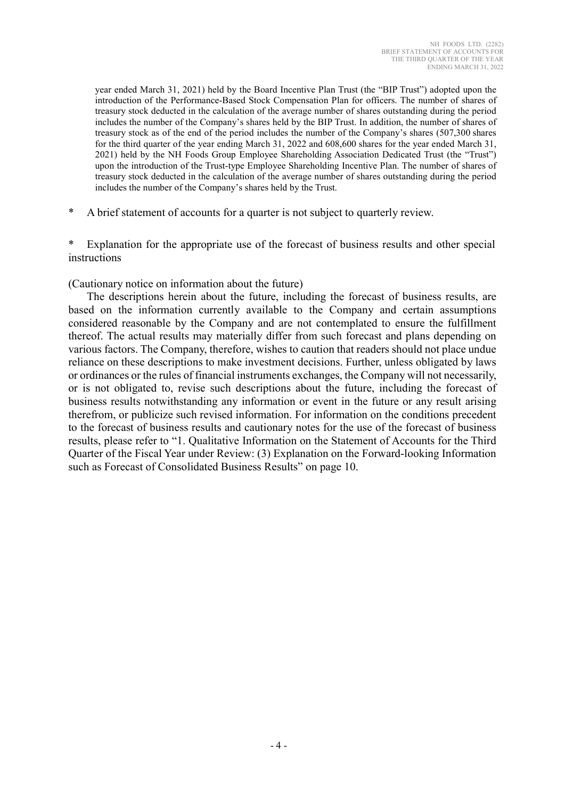year ended March 31, 2021) held by the Board Incentive Plan Trust (the "BIP Trust") adopted upon the introduction of the Performance-Based Stock Compensation Plan for officers. The number of shares of treasury stock deducted in the calculation of the average number of shares outstanding during the period includes the number of the Company's shares held by the BIP Trust. In addition, the number of shares of treasury stock as of the end of the period includes the number of the Company's shares (507,300 shares for the third quarter of the year ending March 31, 2022 and 608,600 shares for the year ended March 31, 2021) held by the NH Foods Group Employee Shareholding Association Dedicated Trust (the "Trust") upon the introduction of the Trust-type Employee Shareholding Incentive Plan. The number of shares of treasury stock deducted in the calculation of the average number of shares outstanding during the period includes the number of the Company's shares held by the Trust.

A brief statement of accounts for a quarter is not subject to quarterly review.

\* Explanation for the appropriate use of the forecast of business results and other special instructions

(Cautionary notice on information about the future)

 The descriptions herein about the future, including the forecast of business results, are based on the information currently available to the Company and certain assumptions considered reasonable by the Company and are not contemplated to ensure the fulfillment thereof. The actual results may materially differ from such forecast and plans depending on various factors. The Company, therefore, wishes to caution that readers should not place undue reliance on these descriptions to make investment decisions. Further, unless obligated by laws or ordinances or the rules of financial instruments exchanges, the Company will not necessarily, or is not obligated to, revise such descriptions about the future, including the forecast of business results notwithstanding any information or event in the future or any result arising therefrom, or publicize such revised information. For information on the conditions precedent to the forecast of business results and cautionary notes for the use of the forecast of business results, please refer to "1. Qualitative Information on the Statement of Accounts for the Third Quarter of the Fiscal Year under Review: (3) Explanation on the Forward-looking Information such as Forecast of Consolidated Business Results" on page 10.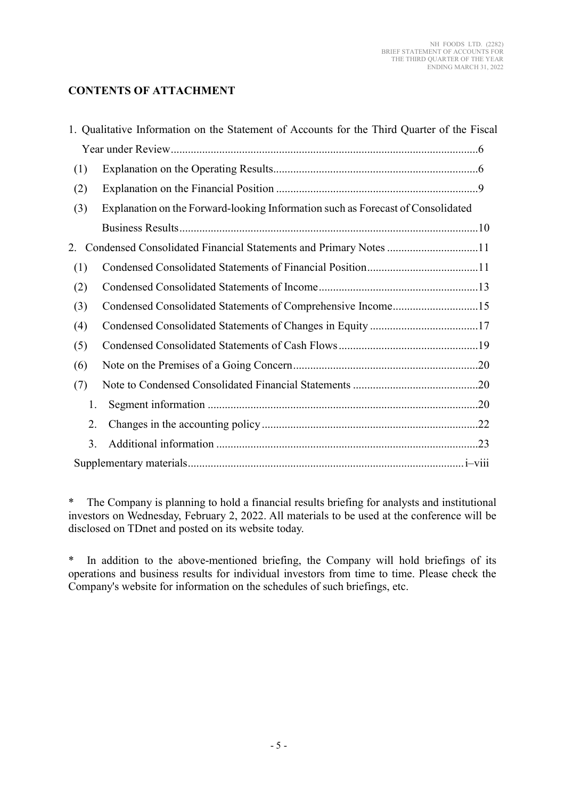### CONTENTS OF ATTACHMENT

|     | 1. Qualitative Information on the Statement of Accounts for the Third Quarter of the Fiscal |
|-----|---------------------------------------------------------------------------------------------|
|     |                                                                                             |
| (1) |                                                                                             |
| (2) |                                                                                             |
| (3) | Explanation on the Forward-looking Information such as Forecast of Consolidated             |
|     |                                                                                             |
| 2.  | Condensed Consolidated Financial Statements and Primary Notes 11                            |
| (1) |                                                                                             |
| (2) |                                                                                             |
| (3) | Condensed Consolidated Statements of Comprehensive Income15                                 |
| (4) |                                                                                             |
| (5) |                                                                                             |
| (6) |                                                                                             |
| (7) |                                                                                             |
| 1.  |                                                                                             |
| 2.  |                                                                                             |
| 3.  |                                                                                             |
|     |                                                                                             |

\* The Company is planning to hold a financial results briefing for analysts and institutional investors on Wednesday, February 2, 2022. All materials to be used at the conference will be disclosed on TDnet and posted on its website today.

\* In addition to the above-mentioned briefing, the Company will hold briefings of its operations and business results for individual investors from time to time. Please check the Company's website for information on the schedules of such briefings, etc.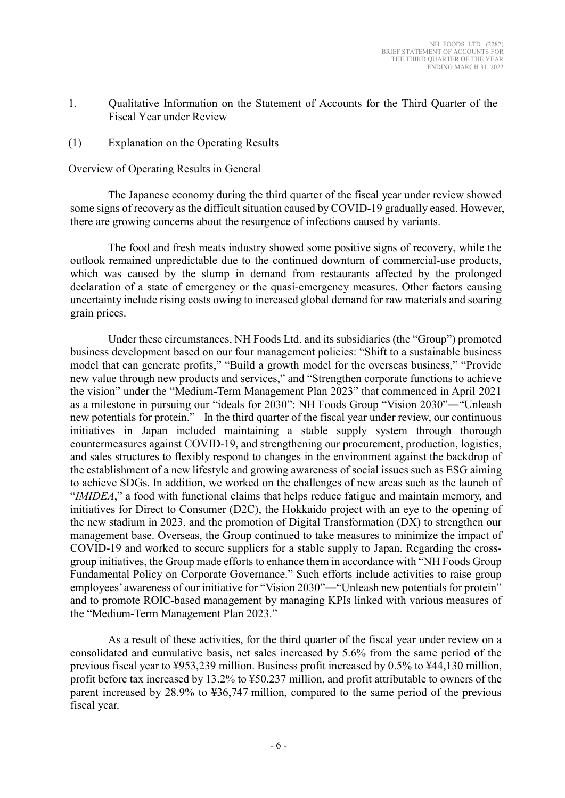- 1. Qualitative Information on the Statement of Accounts for the Third Quarter of the Fiscal Year under Review
- (1) Explanation on the Operating Results

#### Overview of Operating Results in General

The Japanese economy during the third quarter of the fiscal year under review showed some signs of recovery as the difficult situation caused by COVID-19 gradually eased. However, there are growing concerns about the resurgence of infections caused by variants.

The food and fresh meats industry showed some positive signs of recovery, while the outlook remained unpredictable due to the continued downturn of commercial-use products, which was caused by the slump in demand from restaurants affected by the prolonged declaration of a state of emergency or the quasi-emergency measures. Other factors causing uncertainty include rising costs owing to increased global demand for raw materials and soaring grain prices.

Under these circumstances, NH Foods Ltd. and its subsidiaries (the "Group") promoted business development based on our four management policies: "Shift to a sustainable business model that can generate profits," "Build a growth model for the overseas business," "Provide new value through new products and services," and "Strengthen corporate functions to achieve the vision" under the "Medium-Term Management Plan 2023" that commenced in April 2021 as a milestone in pursuing our "ideals for 2030": NH Foods Group "Vision 2030"―"Unleash new potentials for protein." In the third quarter of the fiscal year under review, our continuous initiatives in Japan included maintaining a stable supply system through thorough countermeasures against COVID-19, and strengthening our procurement, production, logistics, and sales structures to flexibly respond to changes in the environment against the backdrop of the establishment of a new lifestyle and growing awareness of social issues such as ESG aiming to achieve SDGs. In addition, we worked on the challenges of new areas such as the launch of "IMIDEA," a food with functional claims that helps reduce fatigue and maintain memory, and initiatives for Direct to Consumer (D2C), the Hokkaido project with an eye to the opening of the new stadium in 2023, and the promotion of Digital Transformation (DX) to strengthen our management base. Overseas, the Group continued to take measures to minimize the impact of COVID-19 and worked to secure suppliers for a stable supply to Japan. Regarding the crossgroup initiatives, the Group made efforts to enhance them in accordance with "NH Foods Group Fundamental Policy on Corporate Governance." Such efforts include activities to raise group employees' awareness of our initiative for "Vision 2030"―"Unleash new potentials for protein" and to promote ROIC-based management by managing KPIs linked with various measures of the "Medium-Term Management Plan 2023."

As a result of these activities, for the third quarter of the fiscal year under review on a consolidated and cumulative basis, net sales increased by 5.6% from the same period of the previous fiscal year to ¥953,239 million. Business profit increased by 0.5% to ¥44,130 million, profit before tax increased by 13.2% to ¥50,237 million, and profit attributable to owners of the parent increased by 28.9% to ¥36,747 million, compared to the same period of the previous fiscal year.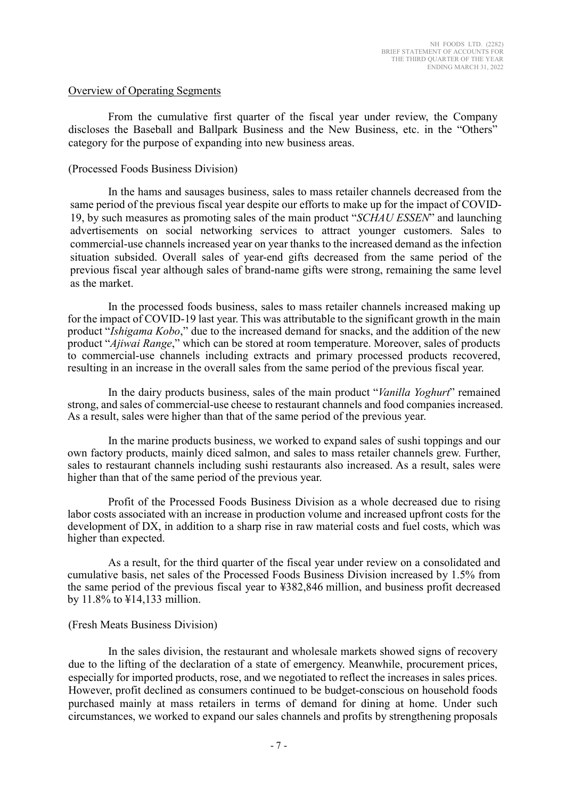#### Overview of Operating Segments

From the cumulative first quarter of the fiscal year under review, the Company discloses the Baseball and Ballpark Business and the New Business, etc. in the "Others" category for the purpose of expanding into new business areas.

#### (Processed Foods Business Division)

In the hams and sausages business, sales to mass retailer channels decreased from the same period of the previous fiscal year despite our efforts to make up for the impact of COVID-19, by such measures as promoting sales of the main product "SCHAU ESSEN" and launching advertisements on social networking services to attract younger customers. Sales to commercial-use channels increased year on year thanks to the increased demand as the infection situation subsided. Overall sales of year-end gifts decreased from the same period of the previous fiscal year although sales of brand-name gifts were strong, remaining the same level as the market.

In the processed foods business, sales to mass retailer channels increased making up for the impact of COVID-19 last year. This was attributable to the significant growth in the main product "Ishigama Kobo," due to the increased demand for snacks, and the addition of the new product "Ajiwai Range," which can be stored at room temperature. Moreover, sales of products to commercial-use channels including extracts and primary processed products recovered, resulting in an increase in the overall sales from the same period of the previous fiscal year.

In the dairy products business, sales of the main product "Vanilla Yoghurt" remained strong, and sales of commercial-use cheese to restaurant channels and food companies increased. As a result, sales were higher than that of the same period of the previous year.

In the marine products business, we worked to expand sales of sushi toppings and our own factory products, mainly diced salmon, and sales to mass retailer channels grew. Further, sales to restaurant channels including sushi restaurants also increased. As a result, sales were higher than that of the same period of the previous year.

Profit of the Processed Foods Business Division as a whole decreased due to rising labor costs associated with an increase in production volume and increased upfront costs for the development of DX, in addition to a sharp rise in raw material costs and fuel costs, which was higher than expected.

As a result, for the third quarter of the fiscal year under review on a consolidated and cumulative basis, net sales of the Processed Foods Business Division increased by 1.5% from the same period of the previous fiscal year to ¥382,846 million, and business profit decreased by 11.8% to ¥14,133 million.

#### (Fresh Meats Business Division)

In the sales division, the restaurant and wholesale markets showed signs of recovery due to the lifting of the declaration of a state of emergency. Meanwhile, procurement prices, especially for imported products, rose, and we negotiated to reflect the increases in sales prices. However, profit declined as consumers continued to be budget-conscious on household foods purchased mainly at mass retailers in terms of demand for dining at home. Under such circumstances, we worked to expand our sales channels and profits by strengthening proposals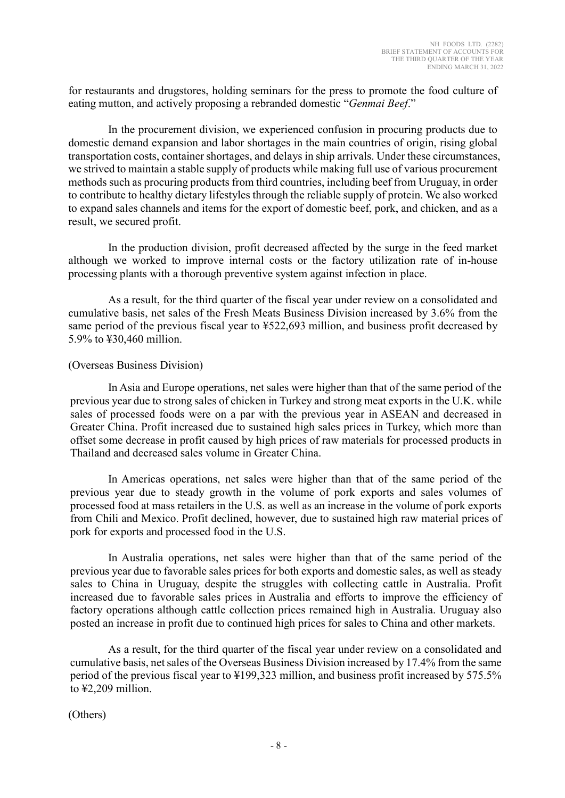for restaurants and drugstores, holding seminars for the press to promote the food culture of eating mutton, and actively proposing a rebranded domestic "Genmai Beef."

In the procurement division, we experienced confusion in procuring products due to domestic demand expansion and labor shortages in the main countries of origin, rising global transportation costs, container shortages, and delays in ship arrivals. Under these circumstances, we strived to maintain a stable supply of products while making full use of various procurement methods such as procuring products from third countries, including beef from Uruguay, in order to contribute to healthy dietary lifestyles through the reliable supply of protein. We also worked to expand sales channels and items for the export of domestic beef, pork, and chicken, and as a result, we secured profit.

In the production division, profit decreased affected by the surge in the feed market although we worked to improve internal costs or the factory utilization rate of in-house processing plants with a thorough preventive system against infection in place.

As a result, for the third quarter of the fiscal year under review on a consolidated and cumulative basis, net sales of the Fresh Meats Business Division increased by 3.6% from the same period of the previous fiscal year to ¥522,693 million, and business profit decreased by 5.9% to ¥30,460 million.

### (Overseas Business Division)

In Asia and Europe operations, net sales were higher than that of the same period of the previous year due to strong sales of chicken in Turkey and strong meat exports in the U.K. while sales of processed foods were on a par with the previous year in ASEAN and decreased in Greater China. Profit increased due to sustained high sales prices in Turkey, which more than offset some decrease in profit caused by high prices of raw materials for processed products in Thailand and decreased sales volume in Greater China.

In Americas operations, net sales were higher than that of the same period of the previous year due to steady growth in the volume of pork exports and sales volumes of processed food at mass retailers in the U.S. as well as an increase in the volume of pork exports from Chili and Mexico. Profit declined, however, due to sustained high raw material prices of pork for exports and processed food in the U.S.

In Australia operations, net sales were higher than that of the same period of the previous year due to favorable sales prices for both exports and domestic sales, as well as steady sales to China in Uruguay, despite the struggles with collecting cattle in Australia. Profit increased due to favorable sales prices in Australia and efforts to improve the efficiency of factory operations although cattle collection prices remained high in Australia. Uruguay also posted an increase in profit due to continued high prices for sales to China and other markets.

As a result, for the third quarter of the fiscal year under review on a consolidated and cumulative basis, net sales of the Overseas Business Division increased by 17.4% from the same period of the previous fiscal year to ¥199,323 million, and business profit increased by 575.5% to ¥2,209 million.

(Others)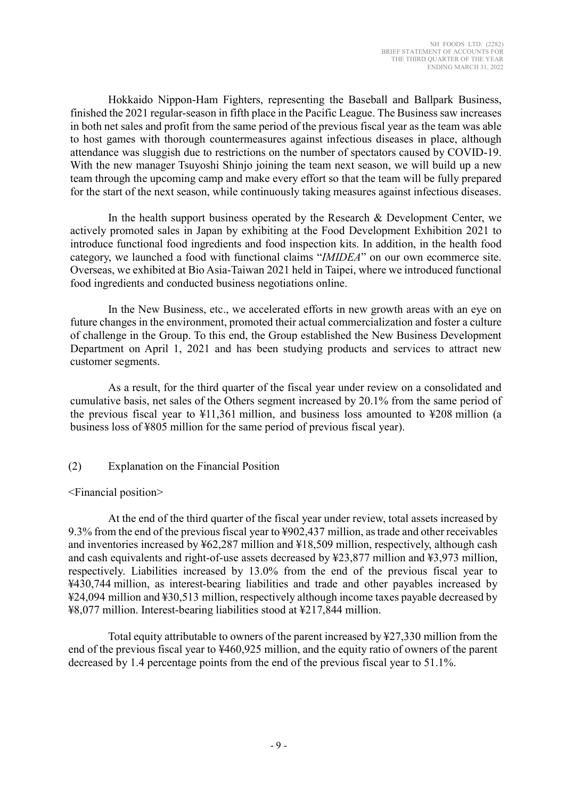Hokkaido Nippon-Ham Fighters, representing the Baseball and Ballpark Business, finished the 2021 regular-season in fifth place in the Pacific League. The Business saw increases in both net sales and profit from the same period of the previous fiscal year as the team was able to host games with thorough countermeasures against infectious diseases in place, although attendance was sluggish due to restrictions on the number of spectators caused by COVID-19. With the new manager Tsuyoshi Shinjo joining the team next season, we will build up a new team through the upcoming camp and make every effort so that the team will be fully prepared for the start of the next season, while continuously taking measures against infectious diseases.

In the health support business operated by the Research & Development Center, we actively promoted sales in Japan by exhibiting at the Food Development Exhibition 2021 to introduce functional food ingredients and food inspection kits. In addition, in the health food category, we launched a food with functional claims "IMIDEA" on our own ecommerce site. Overseas, we exhibited at Bio Asia-Taiwan 2021 held in Taipei, where we introduced functional food ingredients and conducted business negotiations online.

In the New Business, etc., we accelerated efforts in new growth areas with an eye on future changes in the environment, promoted their actual commercialization and foster a culture of challenge in the Group. To this end, the Group established the New Business Development Department on April 1, 2021 and has been studying products and services to attract new customer segments.

As a result, for the third quarter of the fiscal year under review on a consolidated and cumulative basis, net sales of the Others segment increased by 20.1% from the same period of the previous fiscal year to ¥11,361 million, and business loss amounted to ¥208 million (a business loss of ¥805 million for the same period of previous fiscal year).

### (2) Explanation on the Financial Position

### <Financial position>

At the end of the third quarter of the fiscal year under review, total assets increased by 9.3% from the end of the previous fiscal year to ¥902,437 million, as trade and other receivables and inventories increased by ¥62,287 million and ¥18,509 million, respectively, although cash and cash equivalents and right-of-use assets decreased by ¥23,877 million and ¥3,973 million, respectively. Liabilities increased by 13.0% from the end of the previous fiscal year to ¥430,744 million, as interest-bearing liabilities and trade and other payables increased by ¥24,094 million and ¥30,513 million, respectively although income taxes payable decreased by ¥8,077 million. Interest-bearing liabilities stood at ¥217,844 million.

Total equity attributable to owners of the parent increased by ¥27,330 million from the end of the previous fiscal year to ¥460,925 million, and the equity ratio of owners of the parent decreased by 1.4 percentage points from the end of the previous fiscal year to 51.1%.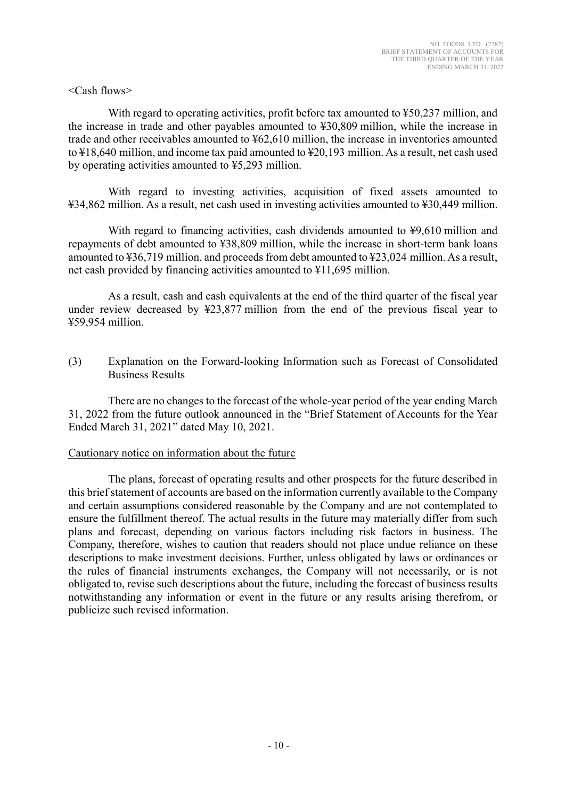### <Cash flows>

With regard to operating activities, profit before tax amounted to ¥50,237 million, and the increase in trade and other payables amounted to ¥30,809 million, while the increase in trade and other receivables amounted to ¥62,610 million, the increase in inventories amounted to ¥18,640 million, and income tax paid amounted to ¥20,193 million. As a result, net cash used by operating activities amounted to ¥5,293 million.

With regard to investing activities, acquisition of fixed assets amounted to ¥34,862 million. As a result, net cash used in investing activities amounted to ¥30,449 million.

With regard to financing activities, cash dividends amounted to \\$9,610 million and repayments of debt amounted to ¥38,809 million, while the increase in short-term bank loans amounted to ¥36,719 million, and proceeds from debt amounted to ¥23,024 million. As a result, net cash provided by financing activities amounted to ¥11,695 million.

As a result, cash and cash equivalents at the end of the third quarter of the fiscal year under review decreased by ¥23,877 million from the end of the previous fiscal year to ¥59,954 million.

(3) Explanation on the Forward-looking Information such as Forecast of Consolidated Business Results

There are no changes to the forecast of the whole-year period of the year ending March 31, 2022 from the future outlook announced in the "Brief Statement of Accounts for the Year Ended March 31, 2021" dated May 10, 2021.

### Cautionary notice on information about the future

The plans, forecast of operating results and other prospects for the future described in this brief statement of accounts are based on the information currently available to the Company and certain assumptions considered reasonable by the Company and are not contemplated to ensure the fulfillment thereof. The actual results in the future may materially differ from such plans and forecast, depending on various factors including risk factors in business. The Company, therefore, wishes to caution that readers should not place undue reliance on these descriptions to make investment decisions. Further, unless obligated by laws or ordinances or the rules of financial instruments exchanges, the Company will not necessarily, or is not obligated to, revise such descriptions about the future, including the forecast of business results notwithstanding any information or event in the future or any results arising therefrom, or publicize such revised information.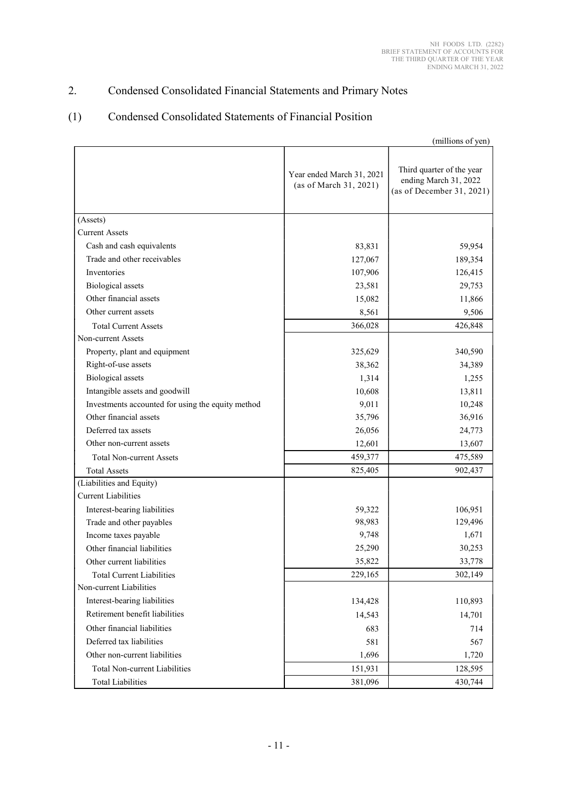# 2. Condensed Consolidated Financial Statements and Primary Notes

### (1) Condensed Consolidated Statements of Financial Position

|                                                   |                                                     | (millions of yen)                                                               |
|---------------------------------------------------|-----------------------------------------------------|---------------------------------------------------------------------------------|
|                                                   | Year ended March 31, 2021<br>(as of March 31, 2021) | Third quarter of the year<br>ending March 31, 2022<br>(as of December 31, 2021) |
| (Assets)                                          |                                                     |                                                                                 |
| <b>Current Assets</b>                             |                                                     |                                                                                 |
| Cash and cash equivalents                         | 83,831                                              | 59,954                                                                          |
| Trade and other receivables                       | 127,067                                             | 189,354                                                                         |
| <b>Inventories</b>                                | 107,906                                             | 126,415                                                                         |
| <b>Biological</b> assets                          | 23,581                                              | 29,753                                                                          |
| Other financial assets                            | 15,082                                              | 11,866                                                                          |
| Other current assets                              | 8,561                                               | 9,506                                                                           |
| <b>Total Current Assets</b>                       | 366,028                                             | 426,848                                                                         |
| Non-current Assets                                |                                                     |                                                                                 |
| Property, plant and equipment                     | 325,629                                             | 340,590                                                                         |
| Right-of-use assets                               | 38,362                                              | 34,389                                                                          |
| <b>Biological</b> assets                          | 1,314                                               | 1,255                                                                           |
| Intangible assets and goodwill                    | 10,608                                              | 13,811                                                                          |
| Investments accounted for using the equity method | 9,011                                               | 10,248                                                                          |
| Other financial assets                            | 35,796                                              | 36,916                                                                          |
| Deferred tax assets                               | 26,056                                              | 24,773                                                                          |
| Other non-current assets                          | 12,601                                              | 13,607                                                                          |
| <b>Total Non-current Assets</b>                   | 459,377                                             | 475,589                                                                         |
| <b>Total Assets</b>                               | 825,405                                             | 902,437                                                                         |
| (Liabilities and Equity)                          |                                                     |                                                                                 |
| <b>Current Liabilities</b>                        |                                                     |                                                                                 |
| Interest-bearing liabilities                      | 59,322                                              | 106,951                                                                         |
| Trade and other payables                          | 98,983                                              | 129,496                                                                         |
| Income taxes payable                              | 9,748                                               | 1,671                                                                           |
| Other financial liabilities                       | 25,290                                              | 30,253                                                                          |
| Other current liabilities                         | 35,822                                              | 33,778                                                                          |
| <b>Total Current Liabilities</b>                  | 229,165                                             | 302,149                                                                         |
| Non-current Liabilities                           |                                                     |                                                                                 |
| Interest-bearing liabilities                      | 134,428                                             | 110,893                                                                         |
| Retirement benefit liabilities                    | 14,543                                              | 14,701                                                                          |
| Other financial liabilities                       | 683                                                 | 714                                                                             |
| Deferred tax liabilities                          | 581                                                 | 567                                                                             |
| Other non-current liabilities                     | 1,696                                               | 1,720                                                                           |
| <b>Total Non-current Liabilities</b>              | 151,931                                             | 128,595                                                                         |
| <b>Total Liabilities</b>                          | 381,096                                             | 430,744                                                                         |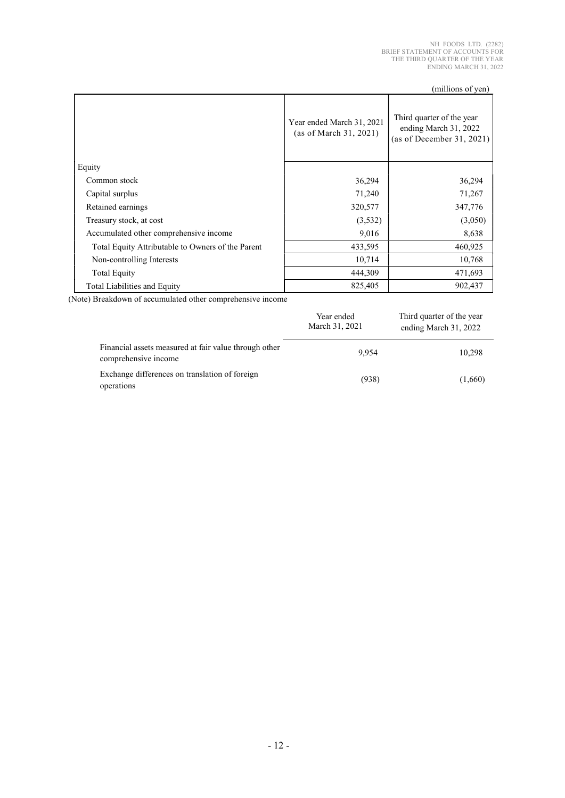|                                                   |                                                     | (millions of yen)                                                               |
|---------------------------------------------------|-----------------------------------------------------|---------------------------------------------------------------------------------|
|                                                   | Year ended March 31, 2021<br>(as of March 31, 2021) | Third quarter of the year<br>ending March 31, 2022<br>(as of December 31, 2021) |
| Equity                                            |                                                     |                                                                                 |
| Common stock                                      | 36,294                                              | 36,294                                                                          |
| Capital surplus                                   | 71,240                                              | 71,267                                                                          |
| Retained earnings                                 | 320,577                                             | 347,776                                                                         |
| Treasury stock, at cost                           | (3,532)                                             | (3,050)                                                                         |
| Accumulated other comprehensive income            | 9,016                                               | 8,638                                                                           |
| Total Equity Attributable to Owners of the Parent | 433,595                                             | 460,925                                                                         |
| Non-controlling Interests                         | 10,714                                              | 10,768                                                                          |
| <b>Total Equity</b>                               | 444,309                                             | 471,693                                                                         |
| Total Liabilities and Equity                      | 825,405                                             | 902,437                                                                         |

(Note) Breakdown of accumulated other comprehensive income

|                                                                               | Year ended<br>March 31, 2021 | Third quarter of the year<br>ending March 31, 2022 |
|-------------------------------------------------------------------------------|------------------------------|----------------------------------------------------|
| Financial assets measured at fair value through other<br>comprehensive income | 9.954                        | 10,298                                             |
| Exchange differences on translation of foreign<br>operations                  | (938)                        | (1,660)                                            |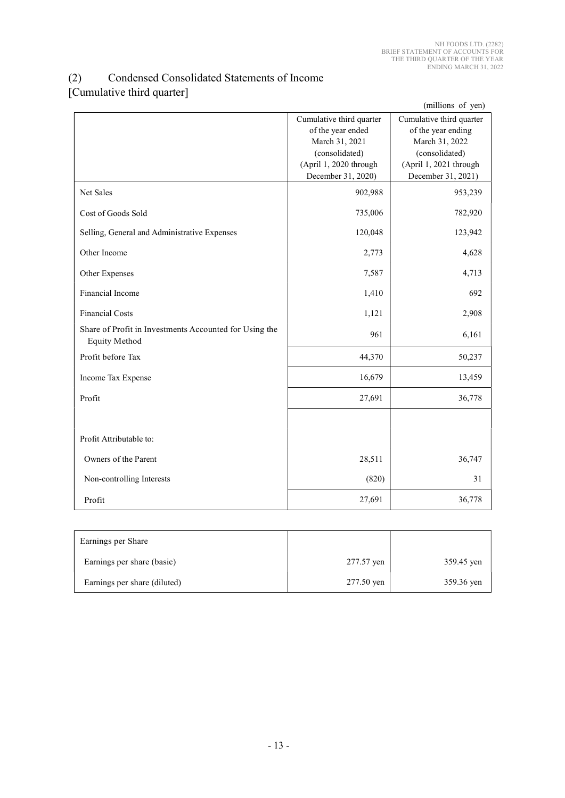### (2) Condensed Consolidated Statements of Income [Cumulative third quarter]

|                                                                                |                          | (millions of yen)        |
|--------------------------------------------------------------------------------|--------------------------|--------------------------|
|                                                                                | Cumulative third quarter | Cumulative third quarter |
|                                                                                | of the year ended        | of the year ending       |
|                                                                                | March 31, 2021           | March 31, 2022           |
|                                                                                | (consolidated)           | (consolidated)           |
|                                                                                | (April 1, 2020 through   | (April 1, 2021 through   |
|                                                                                | December 31, 2020)       | December 31, 2021)       |
| Net Sales                                                                      | 902,988                  | 953,239                  |
| Cost of Goods Sold                                                             | 735,006                  | 782,920                  |
| Selling, General and Administrative Expenses                                   | 120,048                  | 123,942                  |
| Other Income                                                                   | 2,773                    | 4,628                    |
| Other Expenses                                                                 | 7,587                    | 4,713                    |
| Financial Income                                                               | 1,410                    | 692                      |
| <b>Financial Costs</b>                                                         | 1,121                    | 2,908                    |
| Share of Profit in Investments Accounted for Using the<br><b>Equity Method</b> | 961                      | 6,161                    |
| Profit before Tax                                                              | 44,370                   | 50,237                   |
| Income Tax Expense                                                             | 16,679                   | 13,459                   |
| Profit                                                                         | 27,691                   | 36,778                   |
|                                                                                |                          |                          |
| Profit Attributable to:                                                        |                          |                          |
| Owners of the Parent                                                           | 28,511                   | 36,747                   |
| Non-controlling Interests                                                      | (820)                    | 31                       |
| Profit                                                                         | 27,691                   | 36,778                   |

| Earnings per Share           |            |            |
|------------------------------|------------|------------|
| Earnings per share (basic)   | 277.57 yen | 359.45 yen |
| Earnings per share (diluted) | 277.50 yen | 359.36 yen |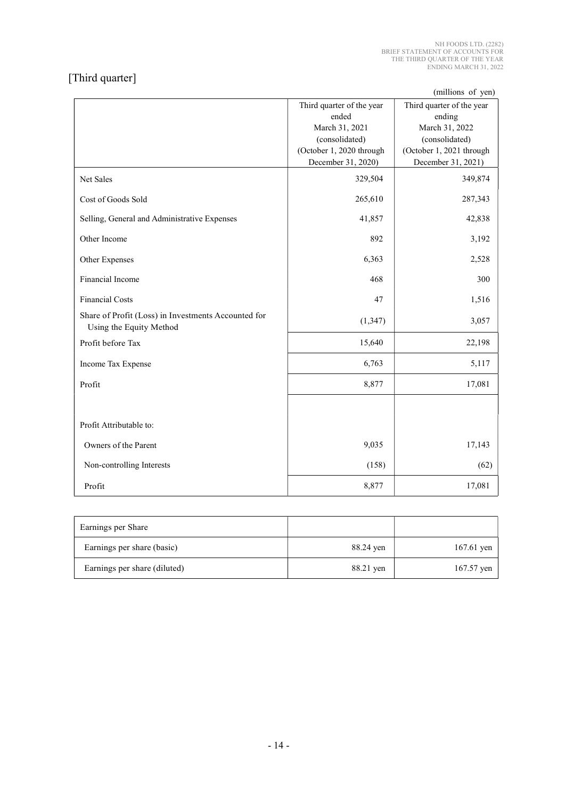# [Third quarter]

(millions of yen)

|                                                                                |                           | (millions of yen)         |
|--------------------------------------------------------------------------------|---------------------------|---------------------------|
|                                                                                | Third quarter of the year | Third quarter of the year |
|                                                                                | ended                     | ending                    |
|                                                                                | March 31, 2021            | March 31, 2022            |
|                                                                                | (consolidated)            | (consolidated)            |
|                                                                                | (October 1, 2020 through  | (October 1, 2021 through  |
|                                                                                | December 31, 2020)        | December 31, 2021)        |
| Net Sales                                                                      | 329,504                   | 349,874                   |
| Cost of Goods Sold                                                             | 265,610                   | 287,343                   |
| Selling, General and Administrative Expenses                                   | 41,857                    | 42,838                    |
| Other Income                                                                   | 892                       | 3,192                     |
| Other Expenses                                                                 | 6,363                     | 2,528                     |
| Financial Income                                                               | 468                       | 300                       |
| <b>Financial Costs</b>                                                         | 47                        | 1,516                     |
| Share of Profit (Loss) in Investments Accounted for<br>Using the Equity Method | (1, 347)                  | 3,057                     |
|                                                                                |                           |                           |
| Profit before Tax                                                              | 15,640                    | 22,198                    |
| Income Tax Expense                                                             | 6,763                     | 5,117                     |
| Profit                                                                         | 8,877                     | 17,081                    |
|                                                                                |                           |                           |
| Profit Attributable to:                                                        |                           |                           |
| Owners of the Parent                                                           | 9,035                     | 17,143                    |
| Non-controlling Interests                                                      | (158)                     | (62)                      |
| Profit                                                                         | 8,877                     | 17,081                    |

| Earnings per Share           |           |              |
|------------------------------|-----------|--------------|
| Earnings per share (basic)   | 88.24 yen | 167.61 yen   |
| Earnings per share (diluted) | 88.21 yen | $167.57$ yen |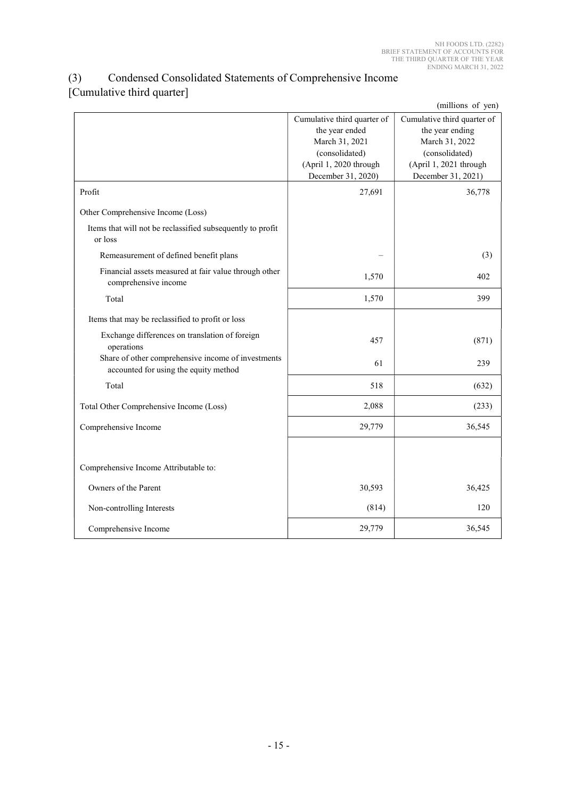### (3) Condensed Consolidated Statements of Comprehensive Income [Cumulative third quarter]

|                                                                                             |                                                                                                                                   | (millions of yen)                                                                                                                  |
|---------------------------------------------------------------------------------------------|-----------------------------------------------------------------------------------------------------------------------------------|------------------------------------------------------------------------------------------------------------------------------------|
|                                                                                             | Cumulative third quarter of<br>the year ended<br>March 31, 2021<br>(consolidated)<br>(April 1, 2020 through<br>December 31, 2020) | Cumulative third quarter of<br>the year ending<br>March 31, 2022<br>(consolidated)<br>(April 1, 2021 through<br>December 31, 2021) |
| Profit                                                                                      | 27,691                                                                                                                            | 36,778                                                                                                                             |
| Other Comprehensive Income (Loss)                                                           |                                                                                                                                   |                                                                                                                                    |
| Items that will not be reclassified subsequently to profit<br>or loss                       |                                                                                                                                   |                                                                                                                                    |
| Remeasurement of defined benefit plans                                                      |                                                                                                                                   | (3)                                                                                                                                |
| Financial assets measured at fair value through other<br>comprehensive income               | 1,570                                                                                                                             | 402                                                                                                                                |
| Total                                                                                       | 1,570                                                                                                                             | 399                                                                                                                                |
| Items that may be reclassified to profit or loss                                            |                                                                                                                                   |                                                                                                                                    |
| Exchange differences on translation of foreign<br>operations                                | 457                                                                                                                               | (871)                                                                                                                              |
| Share of other comprehensive income of investments<br>accounted for using the equity method | 61                                                                                                                                | 239                                                                                                                                |
| Total                                                                                       | 518                                                                                                                               | (632)                                                                                                                              |
| Total Other Comprehensive Income (Loss)                                                     | 2,088                                                                                                                             | (233)                                                                                                                              |
| Comprehensive Income                                                                        | 29,779                                                                                                                            | 36,545                                                                                                                             |
|                                                                                             |                                                                                                                                   |                                                                                                                                    |
| Comprehensive Income Attributable to:                                                       |                                                                                                                                   |                                                                                                                                    |
| Owners of the Parent                                                                        | 30,593                                                                                                                            | 36,425                                                                                                                             |
| Non-controlling Interests                                                                   | (814)                                                                                                                             | 120                                                                                                                                |
| Comprehensive Income                                                                        | 29,779                                                                                                                            | 36,545                                                                                                                             |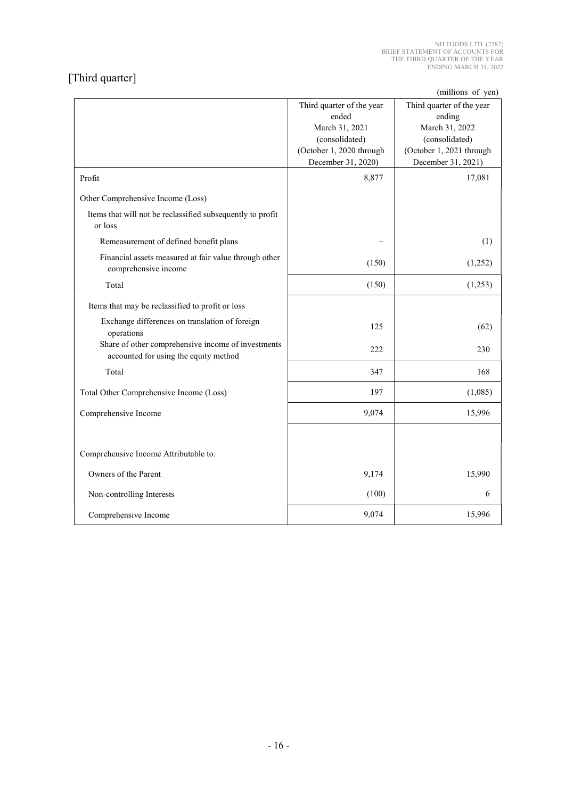# [Third quarter]

 $(millions of  $van$ )$ 

|                                                                                             |                           | (millions of yen)         |
|---------------------------------------------------------------------------------------------|---------------------------|---------------------------|
|                                                                                             | Third quarter of the year | Third quarter of the year |
|                                                                                             | ended                     | ending                    |
|                                                                                             | March 31, 2021            | March 31, 2022            |
|                                                                                             | (consolidated)            | (consolidated)            |
|                                                                                             | (October 1, 2020 through  | (October 1, 2021 through  |
|                                                                                             | December 31, 2020)        | December 31, 2021)        |
| Profit                                                                                      | 8,877                     | 17,081                    |
| Other Comprehensive Income (Loss)                                                           |                           |                           |
| Items that will not be reclassified subsequently to profit<br>or loss                       |                           |                           |
| Remeasurement of defined benefit plans                                                      |                           | (1)                       |
| Financial assets measured at fair value through other<br>comprehensive income               | (150)                     | (1,252)                   |
| Total                                                                                       | (150)                     | (1,253)                   |
| Items that may be reclassified to profit or loss                                            |                           |                           |
| Exchange differences on translation of foreign<br>operations                                | 125                       | (62)                      |
| Share of other comprehensive income of investments<br>accounted for using the equity method | 222                       | 230                       |
| Total                                                                                       | 347                       | 168                       |
| Total Other Comprehensive Income (Loss)                                                     | 197                       | (1,085)                   |
| Comprehensive Income                                                                        | 9,074                     | 15,996                    |
|                                                                                             |                           |                           |
| Comprehensive Income Attributable to:                                                       |                           |                           |
| Owners of the Parent                                                                        | 9,174                     | 15,990                    |
| Non-controlling Interests                                                                   | (100)                     | 6                         |
| Comprehensive Income                                                                        | 9,074                     | 15,996                    |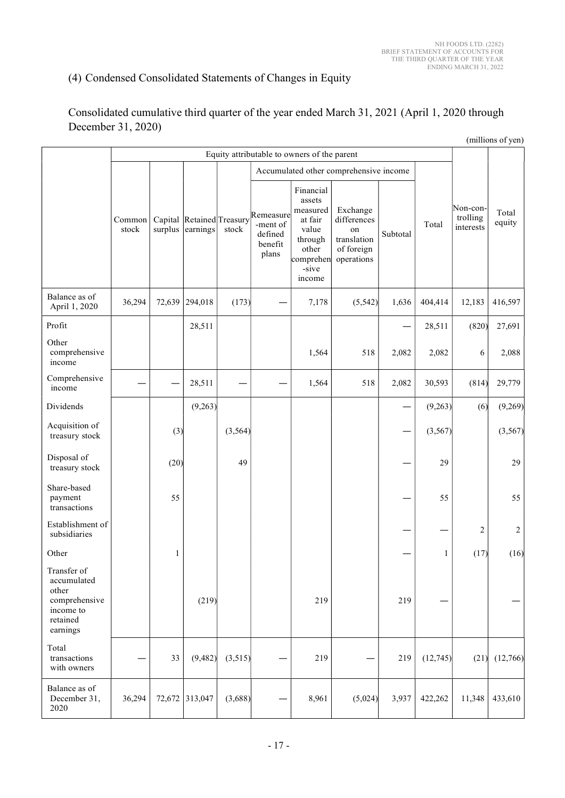# (4) Condensed Consolidated Statements of Changes in Equity

| Consolidated cumulative third quarter of the year ended March 31, 2021 (April 1, 2020 through |  |
|-----------------------------------------------------------------------------------------------|--|
| December 31, 2020)                                                                            |  |

|                                                                                           |                                             |                                        |                                               |          |                                                      |                                                                                                         |                                                                          |                 |          |                                   | (millions of yen) |  |
|-------------------------------------------------------------------------------------------|---------------------------------------------|----------------------------------------|-----------------------------------------------|----------|------------------------------------------------------|---------------------------------------------------------------------------------------------------------|--------------------------------------------------------------------------|-----------------|----------|-----------------------------------|-------------------|--|
|                                                                                           | Equity attributable to owners of the parent |                                        |                                               |          |                                                      |                                                                                                         |                                                                          |                 |          |                                   |                   |  |
|                                                                                           |                                             | Accumulated other comprehensive income |                                               |          |                                                      |                                                                                                         |                                                                          |                 |          |                                   |                   |  |
|                                                                                           | Common<br>stock                             |                                        | Capital Retained Treasury<br>surplus earnings | stock    | Remeasure<br>-ment of<br>defined<br>benefit<br>plans | Financial<br>assets<br>measured<br>at fair<br>value<br>through<br>other<br>comprehen<br>-sive<br>income | Exchange<br>differences<br>on<br>translation<br>of foreign<br>operations | Subtotal        | Total    | Non-con-<br>trolling<br>interests | Total<br>equity   |  |
| Balance as of<br>April 1, 2020                                                            | 36,294                                      |                                        | 72,639 294,018                                | (173)    |                                                      | 7,178                                                                                                   | (5, 542)                                                                 | 1,636           | 404,414  | 12,183                            | 416,597           |  |
| Profit                                                                                    |                                             |                                        | 28,511                                        |          |                                                      |                                                                                                         |                                                                          |                 | 28,511   | (820)                             | 27,691            |  |
| Other<br>comprehensive<br>income                                                          |                                             |                                        |                                               |          |                                                      | 1,564                                                                                                   | 518                                                                      | 2,082           | 2,082    | $\sqrt{6}$                        | 2,088             |  |
| Comprehensive<br>income                                                                   |                                             |                                        | 28,511                                        |          |                                                      | 1,564                                                                                                   | 518                                                                      | 2,082           | 30,593   | (814)                             | 29,779            |  |
| Dividends                                                                                 |                                             |                                        | (9,263)                                       |          |                                                      |                                                                                                         |                                                                          |                 | (9,263)  | (6)                               | (9,269)           |  |
| Acquisition of<br>treasury stock                                                          |                                             | (3)                                    |                                               | (3, 564) |                                                      |                                                                                                         |                                                                          | $\qquad \qquad$ | (3, 567) |                                   | (3, 567)          |  |
| Disposal of<br>treasury stock                                                             |                                             | (20)                                   |                                               | 49       |                                                      |                                                                                                         |                                                                          |                 | 29       |                                   | 29                |  |
| Share-based<br>payment<br>transactions                                                    |                                             | 55                                     |                                               |          |                                                      |                                                                                                         |                                                                          |                 | 55       |                                   | 55                |  |
| Establishment of<br>subsidiaries                                                          |                                             |                                        |                                               |          |                                                      |                                                                                                         |                                                                          | —               | —        | $\boldsymbol{2}$                  | $\sqrt{2}$        |  |
| Other                                                                                     |                                             | 1                                      |                                               |          |                                                      |                                                                                                         |                                                                          |                 | 1        | (17)                              | (16)              |  |
| Transfer of<br>accumulated<br>other<br>comprehensive<br>income to<br>retained<br>earnings |                                             |                                        | (219)                                         |          |                                                      | 219                                                                                                     |                                                                          | 219             |          |                                   | —                 |  |
| Total<br>transactions<br>with owners                                                      |                                             | 33                                     | (9, 482)                                      | (3,515)  |                                                      | 219                                                                                                     | —                                                                        | 219             | (12,745) |                                   | $(21)$ $(12,766)$ |  |
| Balance as of<br>December 31,<br>2020                                                     | 36,294                                      |                                        | 72,672 313,047                                | (3,688)  |                                                      | 8,961                                                                                                   | (5,024)                                                                  | 3,937           | 422,262  | 11,348                            | 433,610           |  |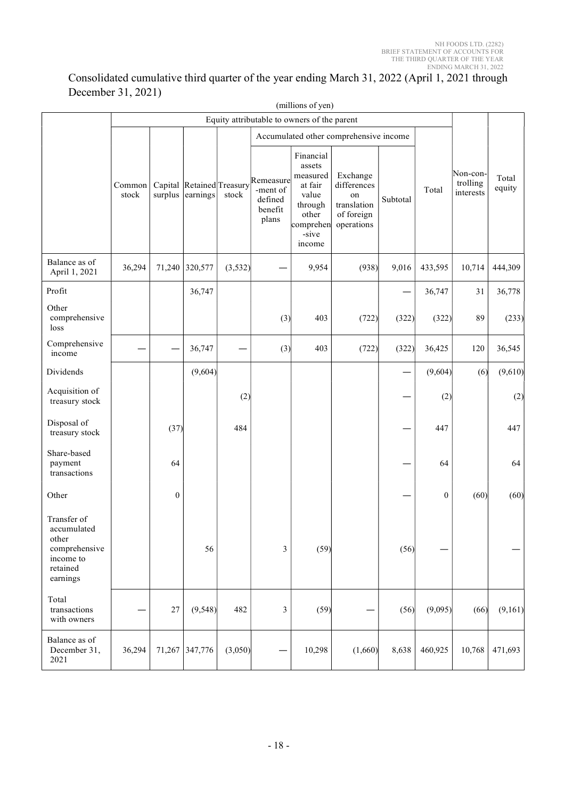### Consolidated cumulative third quarter of the year ending March 31, 2022 (April 1, 2021 through December 31, 2021)

|                                                                                           |                 |                  |                  |                                    |                                                      | (millions of yen)                                                                                       |                                                                                                                             |          |                  |                                   |                 |  |
|-------------------------------------------------------------------------------------------|-----------------|------------------|------------------|------------------------------------|------------------------------------------------------|---------------------------------------------------------------------------------------------------------|-----------------------------------------------------------------------------------------------------------------------------|----------|------------------|-----------------------------------|-----------------|--|
|                                                                                           |                 |                  |                  |                                    |                                                      | Equity attributable to owners of the parent                                                             |                                                                                                                             |          |                  |                                   |                 |  |
|                                                                                           | Common<br>stock |                  | surplus earnings | Capital Retained Treasury<br>stock | Remeasure<br>-ment of<br>defined<br>benefit<br>plans | Financial<br>assets<br>measured<br>at fair<br>value<br>through<br>other<br>comprehen<br>-sive<br>income | Accumulated other comprehensive income<br>Exchange<br>differences<br>$^{\rm on}$<br>translation<br>of foreign<br>operations | Subtotal | Total            | Non-con-<br>trolling<br>interests | Total<br>equity |  |
| Balance as of<br>April 1, 2021                                                            | 36,294          |                  | 71,240 320,577   | (3,532)                            |                                                      | 9,954                                                                                                   | (938)                                                                                                                       | 9,016    | 433,595          | 10,714                            | 444,309         |  |
| Profit                                                                                    |                 |                  | 36,747           |                                    |                                                      |                                                                                                         |                                                                                                                             | —        | 36,747           | 31                                | 36,778          |  |
| Other<br>comprehensive<br>loss                                                            |                 |                  |                  |                                    | (3)                                                  | 403                                                                                                     | (722)                                                                                                                       | (322)    | (322)            | 89                                | (233)           |  |
| Comprehensive<br>income                                                                   |                 |                  | 36,747           |                                    | (3)                                                  | 403                                                                                                     | (722)                                                                                                                       | (322)    | 36,425           | 120                               | 36,545          |  |
| Dividends                                                                                 |                 |                  | (9,604)          |                                    |                                                      |                                                                                                         |                                                                                                                             |          | (9,604)          | (6)                               | (9,610)         |  |
| Acquisition of<br>treasury stock                                                          |                 |                  |                  | (2)                                |                                                      |                                                                                                         |                                                                                                                             | —        | (2)              |                                   | (2)             |  |
| Disposal of<br>treasury stock                                                             |                 | (37)             |                  | 484                                |                                                      |                                                                                                         |                                                                                                                             |          | 447              |                                   | 447             |  |
| Share-based<br>payment<br>transactions                                                    |                 | 64               |                  |                                    |                                                      |                                                                                                         |                                                                                                                             |          | 64               |                                   | 64              |  |
| Other                                                                                     |                 | $\boldsymbol{0}$ |                  |                                    |                                                      |                                                                                                         |                                                                                                                             |          | $\boldsymbol{0}$ | (60)                              | (60)            |  |
| Transfer of<br>accumulated<br>other<br>comprehensive<br>income to<br>retained<br>earnings |                 |                  | 56               |                                    | $\mathfrak{Z}$                                       | (59)                                                                                                    |                                                                                                                             | (56)     |                  |                                   | —               |  |
| Total<br>transactions<br>with owners                                                      | —               | 27               | (9, 548)         | 482                                | 3                                                    | (59)                                                                                                    |                                                                                                                             | (56)     | (9,095)          | (66)                              | (9,161)         |  |
| Balance as of<br>December 31,<br>2021                                                     | 36,294          |                  | 71,267 347,776   | (3,050)                            |                                                      | 10,298                                                                                                  | (1,660)                                                                                                                     | 8,638    | 460,925          | 10,768                            | 471,693         |  |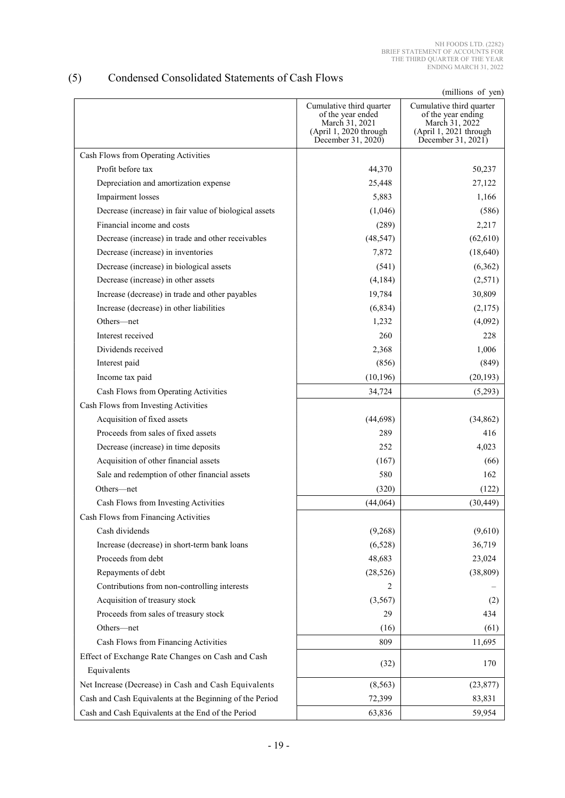### (5) Condensed Consolidated Statements of Cash Flows

(millions of yen)

|                                                          | Cumulative third quarter<br>of the year ended<br>March 31, 2021<br>(April 1, 2020 through | ummons of you<br>Cumulative third quarter<br>of the year ending<br>March 31, 2022<br>(April 1, 2021 through |
|----------------------------------------------------------|-------------------------------------------------------------------------------------------|-------------------------------------------------------------------------------------------------------------|
|                                                          | December 31, 2020)                                                                        | December 31, 2021)                                                                                          |
| Cash Flows from Operating Activities                     |                                                                                           |                                                                                                             |
| Profit before tax                                        | 44,370                                                                                    | 50,237                                                                                                      |
| Depreciation and amortization expense                    | 25,448                                                                                    | 27,122                                                                                                      |
| Impairment losses                                        | 5,883                                                                                     | 1,166                                                                                                       |
| Decrease (increase) in fair value of biological assets   | (1,046)                                                                                   | (586)                                                                                                       |
| Financial income and costs                               | (289)                                                                                     | 2,217                                                                                                       |
| Decrease (increase) in trade and other receivables       | (48, 547)                                                                                 | (62, 610)                                                                                                   |
| Decrease (increase) in inventories                       | 7,872                                                                                     | (18, 640)                                                                                                   |
| Decrease (increase) in biological assets                 | (541)                                                                                     | (6,362)                                                                                                     |
| Decrease (increase) in other assets                      | (4, 184)                                                                                  | (2,571)                                                                                                     |
| Increase (decrease) in trade and other payables          | 19,784                                                                                    | 30,809                                                                                                      |
| Increase (decrease) in other liabilities                 | (6, 834)                                                                                  | (2,175)                                                                                                     |
| Others-net                                               | 1,232                                                                                     | (4,092)                                                                                                     |
| Interest received                                        | 260                                                                                       | 228                                                                                                         |
| Dividends received                                       | 2,368                                                                                     | 1,006                                                                                                       |
| Interest paid                                            | (856)                                                                                     | (849)                                                                                                       |
| Income tax paid                                          | (10, 196)                                                                                 | (20, 193)                                                                                                   |
| Cash Flows from Operating Activities                     | 34,724                                                                                    | (5,293)                                                                                                     |
| Cash Flows from Investing Activities                     |                                                                                           |                                                                                                             |
| Acquisition of fixed assets                              | (44, 698)                                                                                 | (34, 862)                                                                                                   |
| Proceeds from sales of fixed assets                      | 289                                                                                       | 416                                                                                                         |
| Decrease (increase) in time deposits                     | 252                                                                                       | 4,023                                                                                                       |
| Acquisition of other financial assets                    | (167)                                                                                     | (66)                                                                                                        |
| Sale and redemption of other financial assets            | 580                                                                                       | 162                                                                                                         |
| Others-net                                               | (320)                                                                                     | (122)                                                                                                       |
| Cash Flows from Investing Activities                     | (44, 064)                                                                                 | (30, 449)                                                                                                   |
| Cash Flows from Financing Activities                     |                                                                                           |                                                                                                             |
| Cash dividends                                           | (9,268)                                                                                   | (9,610)                                                                                                     |
| Increase (decrease) in short-term bank loans             | (6,528)                                                                                   | 36,719                                                                                                      |
| Proceeds from debt                                       | 48,683                                                                                    | 23,024                                                                                                      |
| Repayments of debt                                       | (28, 526)                                                                                 | (38, 809)                                                                                                   |
| Contributions from non-controlling interests             | 2                                                                                         |                                                                                                             |
| Acquisition of treasury stock                            | (3, 567)                                                                                  | (2)                                                                                                         |
| Proceeds from sales of treasury stock                    | 29                                                                                        | 434                                                                                                         |
| Others-net                                               | (16)                                                                                      | (61)                                                                                                        |
| Cash Flows from Financing Activities                     | 809                                                                                       | 11,695                                                                                                      |
| Effect of Exchange Rate Changes on Cash and Cash         | (32)                                                                                      | 170                                                                                                         |
| Equivalents                                              |                                                                                           |                                                                                                             |
| Net Increase (Decrease) in Cash and Cash Equivalents     | (8, 563)                                                                                  | (23, 877)                                                                                                   |
| Cash and Cash Equivalents at the Beginning of the Period | 72,399                                                                                    | 83,831                                                                                                      |
| Cash and Cash Equivalents at the End of the Period       | 63,836                                                                                    | 59,954                                                                                                      |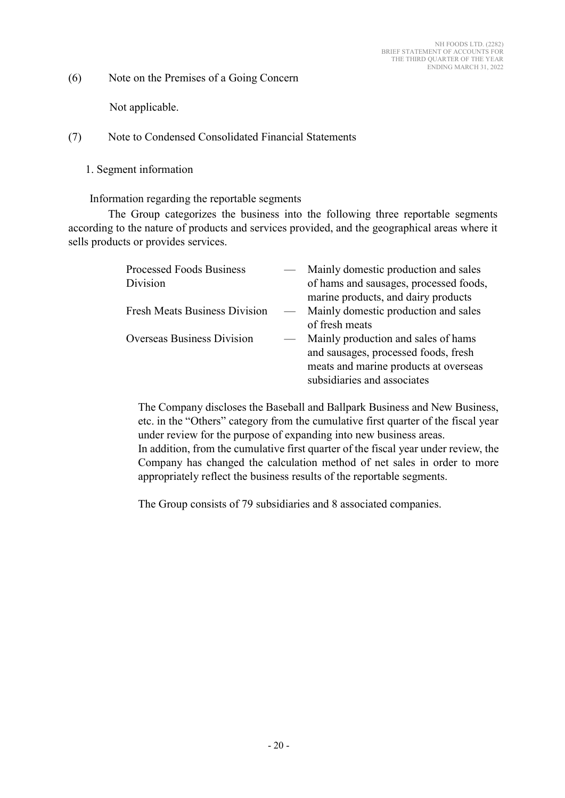(6) Note on the Premises of a Going Concern

Not applicable.

(7) Note to Condensed Consolidated Financial Statements

1. Segment information

Information regarding the reportable segments

The Group categorizes the business into the following three reportable segments according to the nature of products and services provided, and the geographical areas where it sells products or provides services.

| <b>Processed Foods Business</b>      |                          | Mainly domestic production and sales   |
|--------------------------------------|--------------------------|----------------------------------------|
| Division                             |                          | of hams and sausages, processed foods, |
|                                      |                          | marine products, and dairy products    |
| <b>Fresh Meats Business Division</b> | $\overline{\phantom{m}}$ | Mainly domestic production and sales   |
|                                      |                          | of fresh meats                         |
| <b>Overseas Business Division</b>    |                          | Mainly production and sales of hams    |
|                                      |                          | and sausages, processed foods, fresh   |
|                                      |                          | meats and marine products at overseas  |
|                                      |                          | subsidiaries and associates            |

The Company discloses the Baseball and Ballpark Business and New Business, etc. in the "Others" category from the cumulative first quarter of the fiscal year under review for the purpose of expanding into new business areas. In addition, from the cumulative first quarter of the fiscal year under review, the Company has changed the calculation method of net sales in order to more appropriately reflect the business results of the reportable segments.

The Group consists of 79 subsidiaries and 8 associated companies.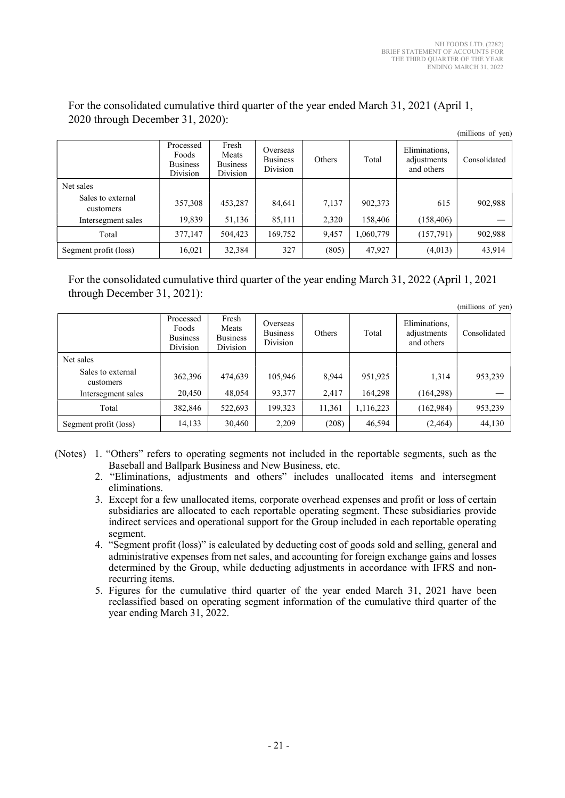|                                |                                                   |                                               |                                         |        |           |                                            | (millions of yen) |
|--------------------------------|---------------------------------------------------|-----------------------------------------------|-----------------------------------------|--------|-----------|--------------------------------------------|-------------------|
|                                | Processed<br>Foods<br><b>Business</b><br>Division | Fresh<br>Meats<br><b>Business</b><br>Division | Overseas<br><b>Business</b><br>Division | Others | Total     | Eliminations,<br>adjustments<br>and others | Consolidated      |
| Net sales                      |                                                   |                                               |                                         |        |           |                                            |                   |
| Sales to external<br>customers | 357,308                                           | 453,287                                       | 84,641                                  | 7,137  | 902,373   | 615                                        | 902,988           |
| Intersegment sales             | 19,839                                            | 51,136                                        | 85,111                                  | 2,320  | 158,406   | (158, 406)                                 |                   |
| Total                          | 377,147                                           | 504,423                                       | 169,752                                 | 9,457  | 1,060,779 | (157,791)                                  | 902,988           |
| Segment profit (loss)          | 16,021                                            | 32,384                                        | 327                                     | (805)  | 47,927    | (4,013)                                    | 43,914            |

For the consolidated cumulative third quarter of the year ended March 31, 2021 (April 1, 2020 through December 31, 2020):  $\mathcal{L}$  and

For the consolidated cumulative third quarter of the year ending March 31, 2022 (April 1, 2021 through December 31, 2021):

|                                |                                                   |                                               |                                         |        |           |                                            | (millions of yen) |
|--------------------------------|---------------------------------------------------|-----------------------------------------------|-----------------------------------------|--------|-----------|--------------------------------------------|-------------------|
|                                | Processed<br>Foods<br><b>Business</b><br>Division | Fresh<br>Meats<br><b>Business</b><br>Division | Overseas<br><b>Business</b><br>Division | Others | Total     | Eliminations,<br>adjustments<br>and others | Consolidated      |
| Net sales                      |                                                   |                                               |                                         |        |           |                                            |                   |
| Sales to external<br>customers | 362,396                                           | 474,639                                       | 105,946                                 | 8,944  | 951,925   | 1,314                                      | 953,239           |
| Intersegment sales             | 20,450                                            | 48,054                                        | 93,377                                  | 2,417  | 164,298   | (164, 298)                                 |                   |
| Total                          | 382,846                                           | 522,693                                       | 199.323                                 | 11,361 | 1,116,223 | (162, 984)                                 | 953,239           |
| Segment profit (loss)          | 14,133                                            | 30,460                                        | 2,209                                   | (208)  | 46,594    | (2, 464)                                   | 44,130            |

(Notes) 1. "Others" refers to operating segments not included in the reportable segments, such as the Baseball and Ballpark Business and New Business, etc.

- 2. "Eliminations, adjustments and others" includes unallocated items and intersegment eliminations.
- 3. Except for a few unallocated items, corporate overhead expenses and profit or loss of certain subsidiaries are allocated to each reportable operating segment. These subsidiaries provide indirect services and operational support for the Group included in each reportable operating segment.
- 4. "Segment profit (loss)" is calculated by deducting cost of goods sold and selling, general and administrative expenses from net sales, and accounting for foreign exchange gains and losses determined by the Group, while deducting adjustments in accordance with IFRS and nonrecurring items.
- 5. Figures for the cumulative third quarter of the year ended March 31, 2021 have been reclassified based on operating segment information of the cumulative third quarter of the year ending March 31, 2022.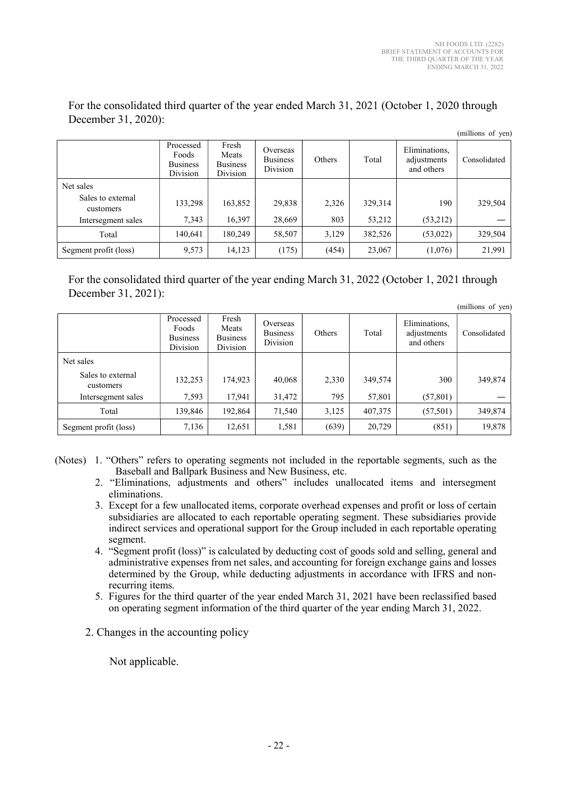|                                |                                                   |                                               |                                         |        |         |                                            | (millions of yen) |
|--------------------------------|---------------------------------------------------|-----------------------------------------------|-----------------------------------------|--------|---------|--------------------------------------------|-------------------|
|                                | Processed<br>Foods<br><b>Business</b><br>Division | Fresh<br>Meats<br><b>Business</b><br>Division | Overseas<br><b>Business</b><br>Division | Others | Total   | Eliminations,<br>adjustments<br>and others | Consolidated      |
| Net sales                      |                                                   |                                               |                                         |        |         |                                            |                   |
| Sales to external<br>customers | 133,298                                           | 163,852                                       | 29,838                                  | 2,326  | 329,314 | 190                                        | 329,504           |
| Intersegment sales             | 7,343                                             | 16,397                                        | 28,669                                  | 803    | 53,212  | (53,212)                                   |                   |
| Total                          | 140,641                                           | 180,249                                       | 58,507                                  | 3,129  | 382,526 | (53, 022)                                  | 329,504           |
| Segment profit (loss)          | 9,573                                             | 14,123                                        | (175)                                   | (454)  | 23,067  | (1,076)                                    | 21,991            |

For the consolidated third quarter of the year ended March 31, 2021 (October 1, 2020 through December 31, 2020):

For the consolidated third quarter of the year ending March 31, 2022 (October 1, 2021 through December 31, 2021):

|                                |                                                   |                                               |                                         |        |         |                                            | (millions of yen) |
|--------------------------------|---------------------------------------------------|-----------------------------------------------|-----------------------------------------|--------|---------|--------------------------------------------|-------------------|
|                                | Processed<br>Foods<br><b>Business</b><br>Division | Fresh<br>Meats<br><b>Business</b><br>Division | Overseas<br><b>Business</b><br>Division | Others | Total   | Eliminations,<br>adjustments<br>and others | Consolidated      |
| Net sales                      |                                                   |                                               |                                         |        |         |                                            |                   |
| Sales to external<br>customers | 132,253                                           | 174,923                                       | 40,068                                  | 2,330  | 349,574 | 300                                        | 349,874           |
| Intersegment sales             | 7,593                                             | 17,941                                        | 31,472                                  | 795    | 57,801  | (57, 801)                                  |                   |
| Total                          | 139,846                                           | 192,864                                       | 71,540                                  | 3,125  | 407,375 | (57, 501)                                  | 349,874           |
| Segment profit (loss)          | 7,136                                             | 12,651                                        | 1,581                                   | (639)  | 20,729  | (851)                                      | 19,878            |

(Notes) 1. "Others" refers to operating segments not included in the reportable segments, such as the Baseball and Ballpark Business and New Business, etc.

- 2. "Eliminations, adjustments and others" includes unallocated items and intersegment eliminations.
- 3. Except for a few unallocated items, corporate overhead expenses and profit or loss of certain subsidiaries are allocated to each reportable operating segment. These subsidiaries provide indirect services and operational support for the Group included in each reportable operating segment.
- 4. "Segment profit (loss)" is calculated by deducting cost of goods sold and selling, general and administrative expenses from net sales, and accounting for foreign exchange gains and losses determined by the Group, while deducting adjustments in accordance with IFRS and nonrecurring items.
- 5. Figures for the third quarter of the year ended March 31, 2021 have been reclassified based on operating segment information of the third quarter of the year ending March 31, 2022.
- 2. Changes in the accounting policy

Not applicable.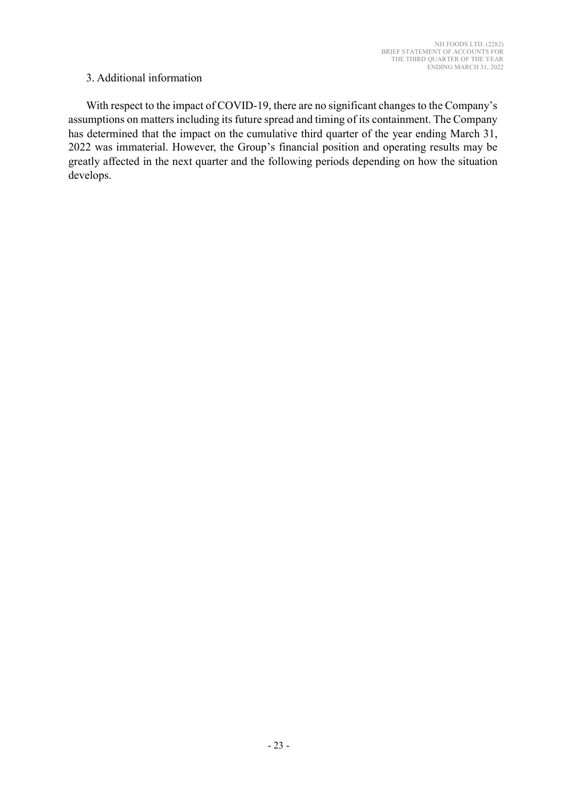### 3. Additional information

With respect to the impact of COVID-19, there are no significant changes to the Company's assumptions on matters including its future spread and timing of its containment. The Company has determined that the impact on the cumulative third quarter of the year ending March 31, 2022 was immaterial. However, the Group's financial position and operating results may be greatly affected in the next quarter and the following periods depending on how the situation develops.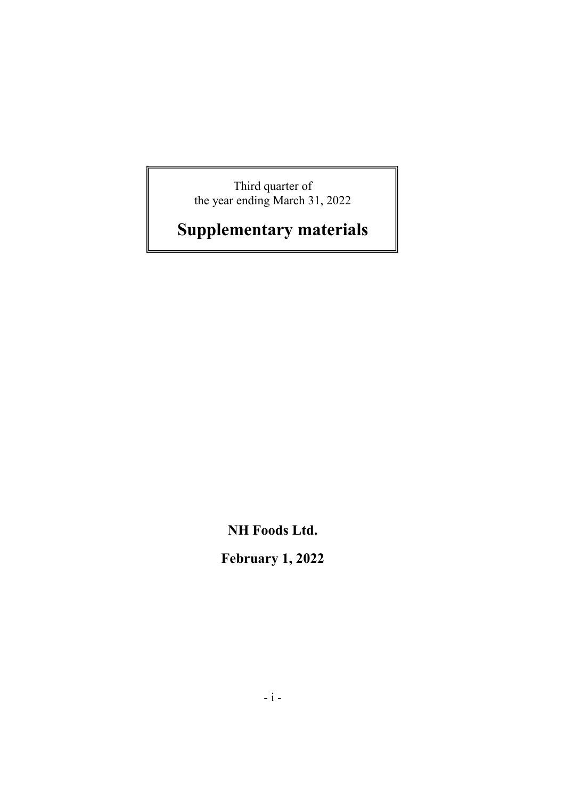Third quarter of the year ending March 31, 2022

# Supplementary materials

NH Foods Ltd.

February 1, 2022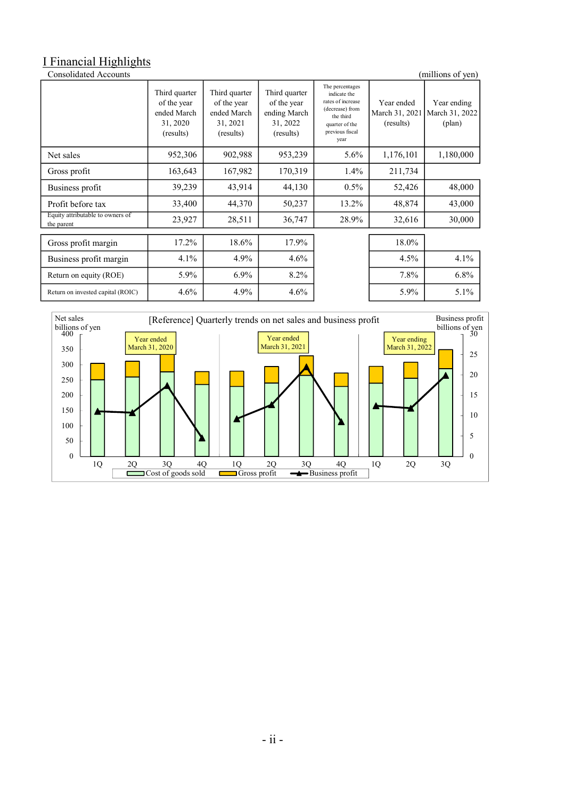# I Financial Highlights

| <b>Consolidated Accounts</b><br>(millions of yen) |                                                                      |                                                                      |                                                                       |                                                                                                                                   |                                           |                                                  |  |  |
|---------------------------------------------------|----------------------------------------------------------------------|----------------------------------------------------------------------|-----------------------------------------------------------------------|-----------------------------------------------------------------------------------------------------------------------------------|-------------------------------------------|--------------------------------------------------|--|--|
|                                                   | Third quarter<br>of the year<br>ended March<br>31, 2020<br>(results) | Third quarter<br>of the year<br>ended March<br>31, 2021<br>(results) | Third quarter<br>of the year<br>ending March<br>31, 2022<br>(results) | The percentages<br>indicate the<br>rates of increase<br>(decrease) from<br>the third<br>quarter of the<br>previous fiscal<br>year | Year ended<br>March 31, 2021<br>(results) | Year ending<br>March 31, 2022<br>$(\text{plan})$ |  |  |
| Net sales                                         | 952,306                                                              | 902,988                                                              | 953,239                                                               | $5.6\%$                                                                                                                           | 1,176,101                                 | 1,180,000                                        |  |  |
| Gross profit                                      | 163,643                                                              | 167,982                                                              | 170,319                                                               | $1.4\%$                                                                                                                           | 211,734                                   |                                                  |  |  |
| Business profit                                   | 39,239                                                               | 43,914                                                               | 44,130                                                                | $0.5\%$                                                                                                                           | 52,426                                    | 48,000                                           |  |  |
| Profit before tax                                 | 33,400                                                               | 44,370                                                               | 50,237                                                                | 13.2%                                                                                                                             | 48,874                                    | 43,000                                           |  |  |
| Equity attributable to owners of<br>the parent    | 23,927                                                               | 28,511                                                               | 36,747                                                                | 28.9%                                                                                                                             | 32,616                                    | 30,000                                           |  |  |
| Gross profit margin                               | 17.2%                                                                | 18.6%                                                                | 17.9%                                                                 |                                                                                                                                   | 18.0%                                     |                                                  |  |  |
| Business profit margin                            | 4.1%                                                                 | 4.9%                                                                 | $4.6\%$                                                               |                                                                                                                                   | 4.5%                                      | 4.1%                                             |  |  |
| Return on equity (ROE)                            | 5.9%                                                                 | 6.9%                                                                 | $8.2\%$                                                               |                                                                                                                                   | 7.8%                                      | 6.8%                                             |  |  |
| Return on invested capital (ROIC)                 | 4.6%                                                                 | 4.9%                                                                 | 4.6%                                                                  |                                                                                                                                   | 5.9%                                      | $5.1\%$                                          |  |  |

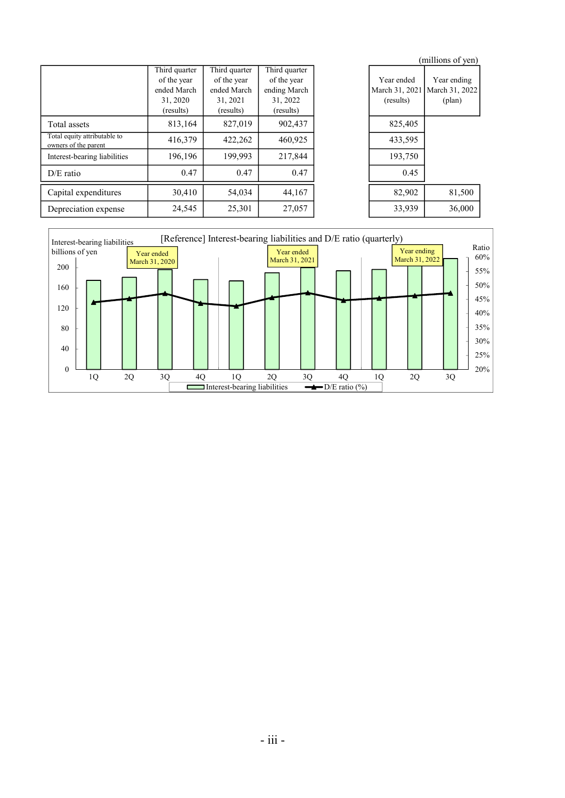|                                                      |               |               |               |                | (millions of yen) |
|------------------------------------------------------|---------------|---------------|---------------|----------------|-------------------|
|                                                      | Third quarter | Third quarter | Third quarter |                |                   |
|                                                      | of the year   | of the year   | of the year   | Year ended     | Year ending       |
|                                                      | ended March   | ended March   | ending March  | March 31, 2021 | March 31, 2022    |
|                                                      | 31, 2020      | 31, 2021      | 31, 2022      | (results)      | $(\text{plan})$   |
|                                                      | (results)     | (results)     | (results)     |                |                   |
| Total assets                                         | 813,164       | 827,019       | 902,437       | 825,405        |                   |
| Total equity attributable to<br>owners of the parent | 416,379       | 422,262       | 460,925       | 433,595        |                   |
| Interest-bearing liabilities                         | 196,196       | 199,993       | 217,844       | 193,750        |                   |
| $D/E$ ratio                                          | 0.47          | 0.47          | 0.47          | 0.45           |                   |
| Capital expenditures                                 | 30,410        | 54,034        | 44,167        | 82,902         | 81,500            |
| Depreciation expense                                 | 24,545        | 25,301        | 27,057        | 33,939         | 36,000            |

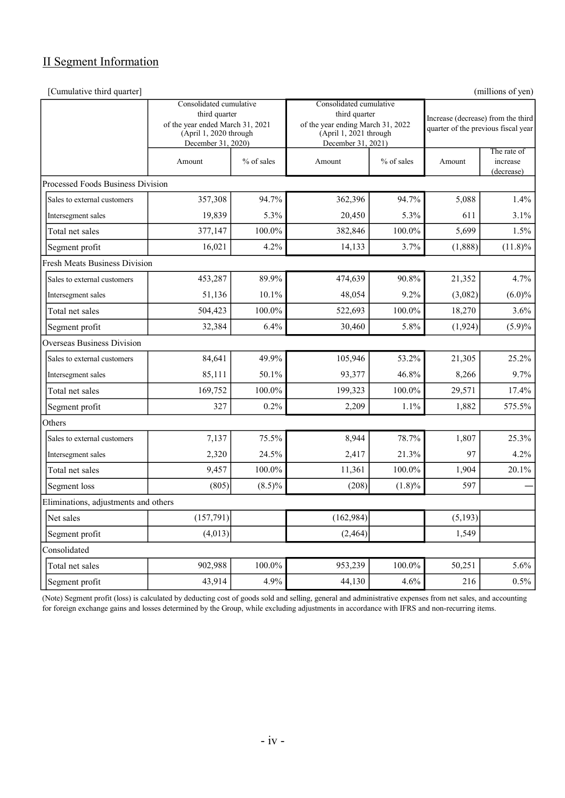# II Segment Information

[Cumulative third quarter] (millions of yen)

|                                      | Consolidated cumulative<br>third quarter<br>of the year ended March 31, 2021<br>(April 1, 2020 through<br>December 31, 2020) |            | Consolidated cumulative<br>third quarter<br>of the year ending March 31, 2022<br>(April 1, 2021 through<br>December 31, 2021) |            | Increase (decrease) from the third<br>quarter of the previous fiscal year |                                       |  |
|--------------------------------------|------------------------------------------------------------------------------------------------------------------------------|------------|-------------------------------------------------------------------------------------------------------------------------------|------------|---------------------------------------------------------------------------|---------------------------------------|--|
|                                      | Amount                                                                                                                       | % of sales | Amount                                                                                                                        | % of sales | Amount                                                                    | The rate of<br>increase<br>(decrease) |  |
| Processed Foods Business Division    |                                                                                                                              |            |                                                                                                                               |            |                                                                           |                                       |  |
| Sales to external customers          | 357,308                                                                                                                      | 94.7%      | 362,396                                                                                                                       | 94.7%      | 5,088                                                                     | 1.4%                                  |  |
| Intersegment sales                   | 19,839                                                                                                                       | 5.3%       | 20,450                                                                                                                        | 5.3%       | 611                                                                       | $3.1\%$                               |  |
| Total net sales                      | 377,147                                                                                                                      | 100.0%     | 382,846                                                                                                                       | 100.0%     | 5,699                                                                     | 1.5%                                  |  |
| Segment profit                       | 16,021                                                                                                                       | 4.2%       | 14,133                                                                                                                        | 3.7%       | (1,888)                                                                   | $(11.8)\%$                            |  |
| <b>Fresh Meats Business Division</b> |                                                                                                                              |            |                                                                                                                               |            |                                                                           |                                       |  |
| Sales to external customers          | 453,287                                                                                                                      | 89.9%      | 474,639                                                                                                                       | 90.8%      | 21,352                                                                    | 4.7%                                  |  |
| Intersegment sales                   | 51,136                                                                                                                       | 10.1%      | 48,054                                                                                                                        | 9.2%       | (3,082)                                                                   | $(6.0)\%$                             |  |
| Total net sales                      | 504,423                                                                                                                      | 100.0%     | 522,693                                                                                                                       | $100.0\%$  | 18,270                                                                    | 3.6%                                  |  |
| Segment profit                       | 32,384                                                                                                                       | 6.4%       | 30,460                                                                                                                        | 5.8%       | (1,924)                                                                   | (5.9)%                                |  |
| Overseas Business Division           |                                                                                                                              |            |                                                                                                                               |            |                                                                           |                                       |  |
| Sales to external customers          | 84,641                                                                                                                       | 49.9%      | 105,946                                                                                                                       | 53.2%      | 21,305                                                                    | 25.2%                                 |  |
| Intersegment sales                   | 85,111                                                                                                                       | 50.1%      | 93,377                                                                                                                        | 46.8%      | 8,266                                                                     | 9.7%                                  |  |
| Total net sales                      | 169,752                                                                                                                      | 100.0%     | 199,323                                                                                                                       | 100.0%     | 29,571                                                                    | 17.4%                                 |  |
| Segment profit                       | 327                                                                                                                          | 0.2%       | 2,209                                                                                                                         | 1.1%       | 1,882                                                                     | 575.5%                                |  |
| Others                               |                                                                                                                              |            |                                                                                                                               |            |                                                                           |                                       |  |
| Sales to external customers          | 7,137                                                                                                                        | 75.5%      | 8,944                                                                                                                         | 78.7%      | 1,807                                                                     | 25.3%                                 |  |
| Intersegment sales                   | 2,320                                                                                                                        | 24.5%      | 2,417                                                                                                                         | 21.3%      | 97                                                                        | 4.2%                                  |  |
| Total net sales                      | 9,457                                                                                                                        | 100.0%     | 11,361                                                                                                                        | 100.0%     | 1,904                                                                     | 20.1%                                 |  |
| Segment loss                         | (805)                                                                                                                        | $(8.5)\%$  | (208)                                                                                                                         | $(1.8)\%$  | 597                                                                       |                                       |  |
| Eliminations, adjustments and others |                                                                                                                              |            |                                                                                                                               |            |                                                                           |                                       |  |
| Net sales                            | (157,791)                                                                                                                    |            | (162, 984)                                                                                                                    |            | (5,193)                                                                   |                                       |  |
| Segment profit                       | (4,013)                                                                                                                      |            | (2, 464)                                                                                                                      |            | 1,549                                                                     |                                       |  |
| Consolidated                         |                                                                                                                              |            |                                                                                                                               |            |                                                                           |                                       |  |
| Total net sales                      | 902,988                                                                                                                      | 100.0%     | 953,239                                                                                                                       | 100.0%     | 50,251                                                                    | 5.6%                                  |  |
| Segment profit                       | 43,914                                                                                                                       | 4.9%       | 44,130                                                                                                                        | 4.6%       | 216                                                                       | 0.5%                                  |  |

(Note) Segment profit (loss) is calculated by deducting cost of goods sold and selling, general and administrative expenses from net sales, and accounting for foreign exchange gains and losses determined by the Group, while excluding adjustments in accordance with IFRS and non-recurring items.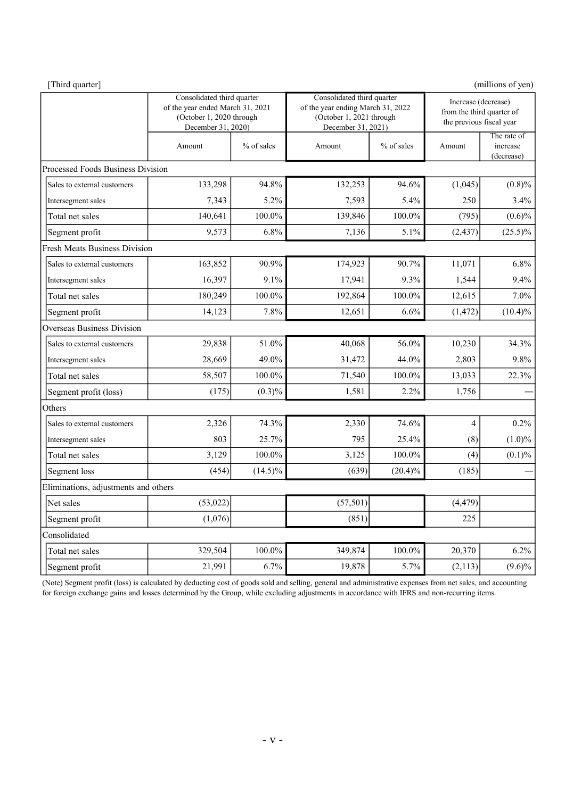| [Third quarter]                      |                                                                                                                  |            |                                                                                                                   |            |                                                                              | (millions of yen)                     |
|--------------------------------------|------------------------------------------------------------------------------------------------------------------|------------|-------------------------------------------------------------------------------------------------------------------|------------|------------------------------------------------------------------------------|---------------------------------------|
|                                      | Consolidated third quarter<br>of the year ended March 31, 2021<br>(October 1, 2020 through<br>December 31, 2020) |            | Consolidated third quarter<br>of the year ending March 31, 2022<br>(October 1, 2021 through<br>December 31, 2021) |            | Increase (decrease)<br>from the third quarter of<br>the previous fiscal year |                                       |
|                                      | Amount                                                                                                           | % of sales | Amount                                                                                                            | % of sales | Amount                                                                       | The rate of<br>increase<br>(decrease) |
| Processed Foods Business Division    |                                                                                                                  |            |                                                                                                                   |            |                                                                              |                                       |
| Sales to external customers          | 133,298                                                                                                          | 94.8%      | 132,253                                                                                                           | 94.6%      | (1,045)                                                                      | (0.8)%                                |
| Intersegment sales                   | 7,343                                                                                                            | 5.2%       | 7,593                                                                                                             | 5.4%       | 250                                                                          | 3.4%                                  |
| Total net sales                      | 140,641                                                                                                          | 100.0%     | 139,846                                                                                                           | 100.0%     | (795)                                                                        | $(0.6)\%$                             |
| Segment profit                       | 9,573                                                                                                            | 6.8%       | 7,136                                                                                                             | 5.1%       | (2, 437)                                                                     | $(25.5)\%$                            |
| <b>Fresh Meats Business Division</b> |                                                                                                                  |            |                                                                                                                   |            |                                                                              |                                       |
| Sales to external customers          | 163,852                                                                                                          | 90.9%      | 174,923                                                                                                           | 90.7%      | 11,071                                                                       | 6.8%                                  |
| Intersegment sales                   | 16,397                                                                                                           | 9.1%       | 17,941                                                                                                            | 9.3%       | 1,544                                                                        | 9.4%                                  |
| Total net sales                      | 180,249                                                                                                          | 100.0%     | 192,864                                                                                                           | 100.0%     | 12,615                                                                       | 7.0%                                  |
| Segment profit                       | 14,123                                                                                                           | 7.8%       | 12,651                                                                                                            | 6.6%       | (1, 472)                                                                     | $(10.4)\%$                            |
| <b>Overseas Business Division</b>    |                                                                                                                  |            |                                                                                                                   |            |                                                                              |                                       |
| Sales to external customers          | 29,838                                                                                                           | 51.0%      | 40,068                                                                                                            | 56.0%      | 10,230                                                                       | 34.3%                                 |
| Intersegment sales                   | 28,669                                                                                                           | 49.0%      | 31,472                                                                                                            | 44.0%      | 2,803                                                                        | 9.8%                                  |
| Total net sales                      | 58,507                                                                                                           | 100.0%     | 71,540                                                                                                            | 100.0%     | 13,033                                                                       | 22.3%                                 |
| Segment profit (loss)                | (175)                                                                                                            | $(0.3)\%$  | 1,581                                                                                                             | 2.2%       | 1,756                                                                        |                                       |
| Others                               |                                                                                                                  |            |                                                                                                                   |            |                                                                              |                                       |
| Sales to external customers          | 2,326                                                                                                            | 74.3%      | 2,330                                                                                                             | 74.6%      | 4                                                                            | 0.2%                                  |
| Intersegment sales                   | 803                                                                                                              | 25.7%      | 795                                                                                                               | 25.4%      | (8)                                                                          | $(1.0)\%$                             |
| Total net sales                      | 3,129                                                                                                            | 100.0%     | 3,125                                                                                                             | 100.0%     | (4)                                                                          | (0.1)%                                |
| Segment loss                         | (454)                                                                                                            | $(14.5)\%$ | (639)                                                                                                             | $(20.4)\%$ | (185)                                                                        |                                       |
| Eliminations, adjustments and others |                                                                                                                  |            |                                                                                                                   |            |                                                                              |                                       |
| Net sales                            | (53, 022)                                                                                                        |            | (57, 501)                                                                                                         |            | (4, 479)                                                                     |                                       |
| Segment profit                       | (1,076)                                                                                                          |            | (851)                                                                                                             |            | 225                                                                          |                                       |
| Consolidated                         |                                                                                                                  |            |                                                                                                                   |            |                                                                              |                                       |
| Total net sales                      | 329,504                                                                                                          | 100.0%     | 349,874                                                                                                           | $100.0\%$  | 20,370                                                                       | 6.2%                                  |
| Segment profit                       | 21,991                                                                                                           | 6.7%       | 19,878                                                                                                            | 5.7%       | (2,113)                                                                      | $(9.6)\%$                             |

(Note) Segment profit (loss) is calculated by deducting cost of goods sold and selling, general and administrative expenses from net sales, and accounting for foreign exchange gains and losses determined by the Group, while excluding adjustments in accordance with IFRS and non-recurring items.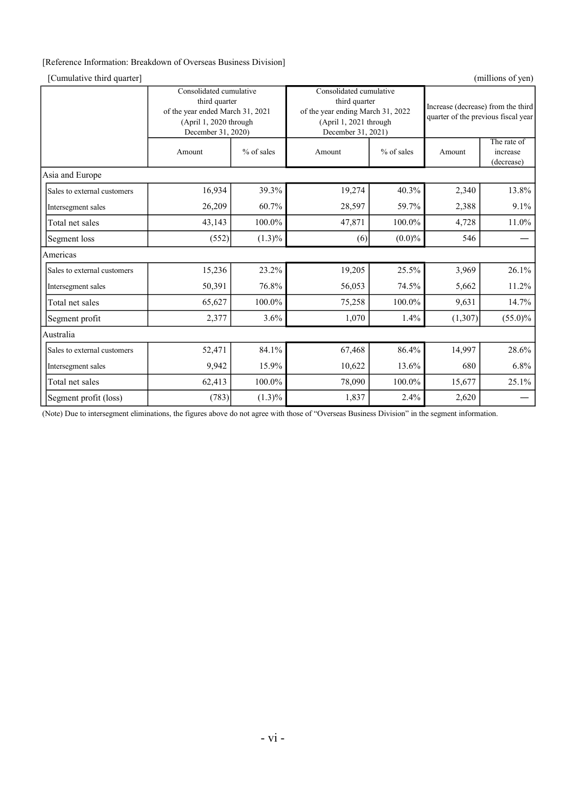#### [Reference Information: Breakdown of Overseas Business Division]

#### [Cumulative third quarter] (millions of yen)

|                             | Consolidated cumulative<br>third quarter<br>of the year ended March 31, 2021<br>(April 1, 2020 through<br>December 31, 2020) |              | Consolidated cumulative<br>third quarter<br>of the year ending March 31, 2022<br>(April 1, 2021 through<br>December 31, 2021) |            | Increase (decrease) from the third<br>quarter of the previous fiscal year |                                       |  |
|-----------------------------|------------------------------------------------------------------------------------------------------------------------------|--------------|-------------------------------------------------------------------------------------------------------------------------------|------------|---------------------------------------------------------------------------|---------------------------------------|--|
|                             | Amount                                                                                                                       | $%$ of sales | Amount                                                                                                                        | % of sales | Amount                                                                    | The rate of<br>increase<br>(decrease) |  |
| Asia and Europe             |                                                                                                                              |              |                                                                                                                               |            |                                                                           |                                       |  |
| Sales to external customers | 16,934                                                                                                                       | 39.3%        | 19,274                                                                                                                        | 40.3%      | 2,340                                                                     | 13.8%                                 |  |
| Intersegment sales          | 26,209                                                                                                                       | 60.7%        | 28,597                                                                                                                        | 59.7%      | 2,388                                                                     | 9.1%                                  |  |
| Total net sales             | 43,143                                                                                                                       | 100.0%       | 47,871                                                                                                                        | 100.0%     | 4,728                                                                     | 11.0%                                 |  |
| Segment loss                | (552)<br>$(1.3)\%$                                                                                                           |              | (6)                                                                                                                           | $(0.0)\%$  | 546                                                                       |                                       |  |
| Americas                    |                                                                                                                              |              |                                                                                                                               |            |                                                                           |                                       |  |
| Sales to external customers | 15,236                                                                                                                       | 23.2%        | 19,205                                                                                                                        | 25.5%      | 3,969                                                                     | 26.1%                                 |  |
| Intersegment sales          | 50,391                                                                                                                       | 76.8%        | 56,053                                                                                                                        | 74.5%      | 5,662                                                                     | 11.2%                                 |  |
| Total net sales             | 65,627                                                                                                                       | 100.0%       | 75,258                                                                                                                        | 100.0%     | 9,631                                                                     | 14.7%                                 |  |
| Segment profit              | 2,377                                                                                                                        | $3.6\%$      | 1,070                                                                                                                         | 1.4%       | (1, 307)                                                                  | $(55.0)\%$                            |  |
| Australia                   |                                                                                                                              |              |                                                                                                                               |            |                                                                           |                                       |  |
| Sales to external customers | 52,471                                                                                                                       | 84.1%        | 67,468                                                                                                                        | 86.4%      | 14,997                                                                    | 28.6%                                 |  |
| Intersegment sales          | 9,942                                                                                                                        | 15.9%        | 10,622                                                                                                                        | 13.6%      | 680                                                                       | 6.8%                                  |  |
| Total net sales             | 62,413                                                                                                                       | 100.0%       | 78,090                                                                                                                        | 100.0%     | 15,677                                                                    | 25.1%                                 |  |
| Segment profit (loss)       | (783)                                                                                                                        | $(1.3)\%$    | 1,837                                                                                                                         | 2.4%       | 2,620                                                                     |                                       |  |

(Note) Due to intersegment eliminations, the figures above do not agree with those of "Overseas Business Division" in the segment information.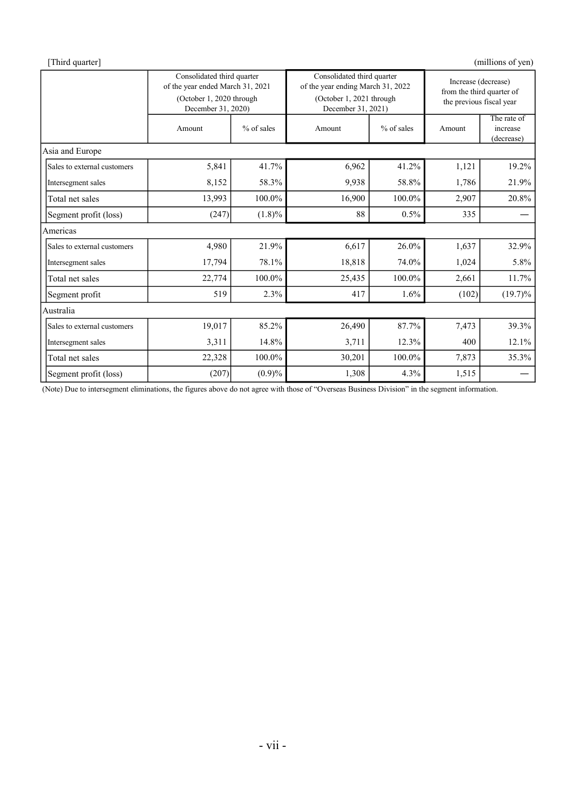| [Third quarter]             |                                                                                                                  |              |                                                                                                                   |              |                                                                              | (millions of yen)                     |  |
|-----------------------------|------------------------------------------------------------------------------------------------------------------|--------------|-------------------------------------------------------------------------------------------------------------------|--------------|------------------------------------------------------------------------------|---------------------------------------|--|
|                             | Consolidated third quarter<br>of the year ended March 31, 2021<br>(October 1, 2020 through<br>December 31, 2020) |              | Consolidated third quarter<br>of the year ending March 31, 2022<br>(October 1, 2021 through<br>December 31, 2021) |              | Increase (decrease)<br>from the third quarter of<br>the previous fiscal year |                                       |  |
|                             | Amount                                                                                                           | $%$ of sales | Amount                                                                                                            | $%$ of sales | Amount                                                                       | The rate of<br>increase<br>(decrease) |  |
| Asia and Europe             |                                                                                                                  |              |                                                                                                                   |              |                                                                              |                                       |  |
| Sales to external customers | 5,841                                                                                                            | 41.7%        | 6,962                                                                                                             | 41.2%        | 1,121                                                                        | 19.2%                                 |  |
| Intersegment sales          | 8,152                                                                                                            | 58.3%        | 9,938                                                                                                             | 58.8%        | 1,786                                                                        | 21.9%                                 |  |
| Total net sales             | 13,993                                                                                                           | 100.0%       | 16,900                                                                                                            | 100.0%       | 2,907                                                                        | 20.8%                                 |  |
| Segment profit (loss)       | (247)                                                                                                            | $(1.8)\%$    | 88                                                                                                                | $0.5\%$      | 335                                                                          |                                       |  |
| Americas                    |                                                                                                                  |              |                                                                                                                   |              |                                                                              |                                       |  |
| Sales to external customers | 4,980                                                                                                            | 21.9%        | 6,617                                                                                                             | 26.0%        | 1,637                                                                        | 32.9%                                 |  |
| Intersegment sales          | 17,794                                                                                                           | 78.1%        | 18,818                                                                                                            | 74.0%        | 1,024                                                                        | 5.8%                                  |  |
| Total net sales             | 22,774                                                                                                           | 100.0%       | 25,435                                                                                                            | 100.0%       | 2,661                                                                        | 11.7%                                 |  |
| Segment profit              | 519                                                                                                              | 2.3%         | 417                                                                                                               | 1.6%         | (102)                                                                        | $(19.7)\%$                            |  |
| Australia                   |                                                                                                                  |              |                                                                                                                   |              |                                                                              |                                       |  |
| Sales to external customers | 19,017                                                                                                           | 85.2%        | 26,490                                                                                                            | 87.7%        | 7,473                                                                        | 39.3%                                 |  |
| Intersegment sales          | 3,311                                                                                                            | 14.8%        | 3,711                                                                                                             | 12.3%        | 400                                                                          | 12.1%                                 |  |
| Total net sales             | 22,328                                                                                                           | 100.0%       | 30,201                                                                                                            | 100.0%       | 7,873                                                                        | 35.3%                                 |  |
| Segment profit (loss)       | (207)                                                                                                            | (0.9)%       | 1,308                                                                                                             | 4.3%         | 1,515                                                                        |                                       |  |

(Note) Due to intersegment eliminations, the figures above do not agree with those of "Overseas Business Division" in the segment information.